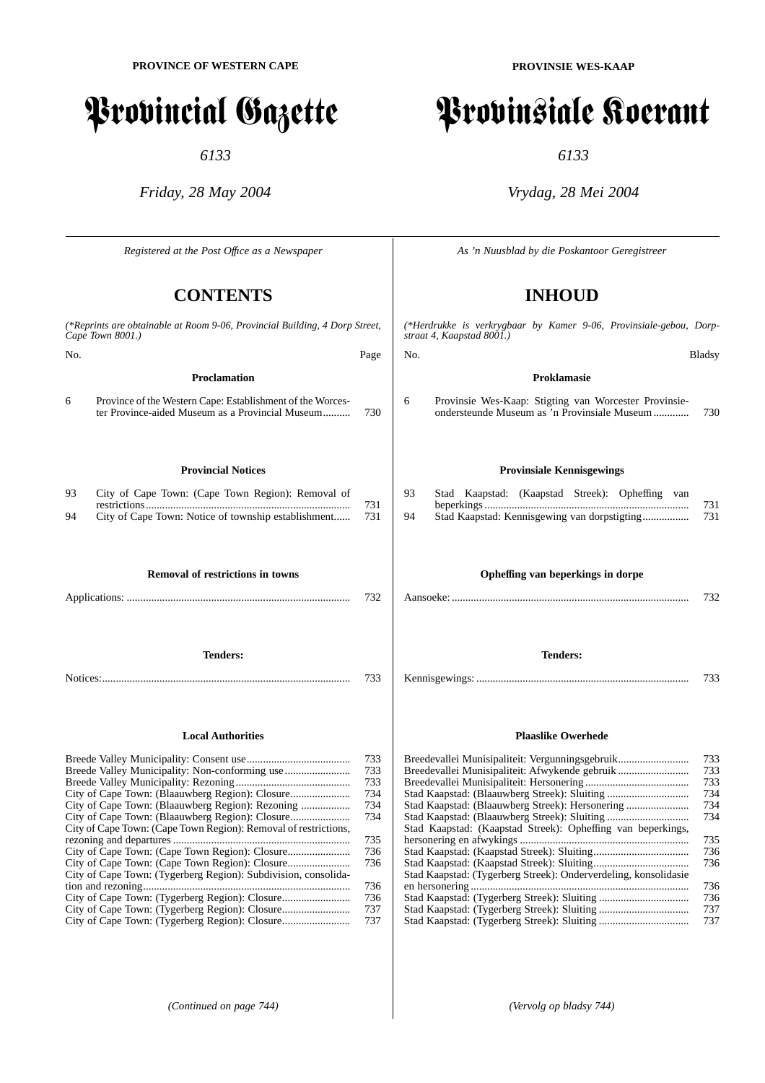# Provincial Gazette

*6133*

*Friday, 28 May 2004*

*Registered at the Post Offıce as a Newspaper*

## **CONTENTS**

|                          | (*Reprints are obtainable at Room 9-06, Provincial Building, 4 Dorp Street,<br>Cape Town 8001.)                                                                       |                                        |  |  |
|--------------------------|-----------------------------------------------------------------------------------------------------------------------------------------------------------------------|----------------------------------------|--|--|
| No.                      |                                                                                                                                                                       | Page                                   |  |  |
|                          | <b>Proclamation</b>                                                                                                                                                   |                                        |  |  |
| 6                        | Province of the Western Cape: Establishment of the Worces-<br>ter Province-aided Museum as a Provincial Museum                                                        | 730                                    |  |  |
|                          | <b>Provincial Notices</b>                                                                                                                                             |                                        |  |  |
| 93                       | City of Cape Town: (Cape Town Region): Removal of                                                                                                                     |                                        |  |  |
| 94                       | City of Cape Town: Notice of township establishment                                                                                                                   | 731<br>731                             |  |  |
|                          | <b>Removal of restrictions in towns</b>                                                                                                                               |                                        |  |  |
|                          |                                                                                                                                                                       | 732                                    |  |  |
|                          | <b>Tenders:</b>                                                                                                                                                       | 733                                    |  |  |
| <b>Local Authorities</b> |                                                                                                                                                                       |                                        |  |  |
|                          | Breede Valley Municipality: Non-conforming use<br>City of Cape Town: (Blaauwberg Region): Rezoning<br>City of Cape Town: (Cape Town Region): Removal of restrictions, | 733<br>733<br>733<br>734<br>734<br>734 |  |  |
|                          |                                                                                                                                                                       | 735<br>736<br>736                      |  |  |
|                          | City of Cape Town: (Tygerberg Region): Subdivision, consolida-<br>City of Cape Town: (Tygerberg Region): Closure                                                      | 736<br>736<br>737<br>737               |  |  |

**PROVINSIE WES-KAAP**

# Provinsiale Koerant

*6133*

## *Vrydag, 28 Mei 2004*

*As 'n Nuusblad by die Poskantoor Geregistreer*

# **INHOUD**

*(\*Herdrukke is verkrygbaar by Kamer 9-06, Provinsiale-gebou, Dorpstraat 4, Kaapstad 8001.)*

**Proklamasie**

6 Provinsie Wes-Kaap: Stigting van Worcester Provinsieondersteunde Museum as 'n Provinsiale Museum ............. 730

#### **Provinsiale Kennisgewings**

| 93 |  |  | Stad Kaapstad: (Kaapstad Streek): Opheffing van |     |  |     |
|----|--|--|-------------------------------------------------|-----|--|-----|
|    |  |  |                                                 |     |  | 731 |
| 94 |  |  |                                                 | 731 |  |     |

#### **Opheffing van beperkings in dorpe**

**Tenders:**

Kennisgewings: .............................................................................. 733

#### **Plaaslike Owerhede**

| Breedevallei Munisipaliteit: Vergunningsgebruik                 | 733 |
|-----------------------------------------------------------------|-----|
| Breedevallei Munisipaliteit: Afwykende gebruik                  | 733 |
|                                                                 | 733 |
|                                                                 | 734 |
| Stad Kaapstad: (Blaauwberg Streek): Hersonering                 | 734 |
|                                                                 | 734 |
| Stad Kaapstad: (Kaapstad Streek): Opheffing van beperkings,     |     |
|                                                                 | 735 |
|                                                                 | 736 |
|                                                                 | 736 |
| Stad Kaapstad: (Tygerberg Streek): Onderverdeling, konsolidasie |     |
|                                                                 | 736 |
|                                                                 | 736 |
|                                                                 | 737 |
|                                                                 | 737 |
|                                                                 |     |

No. Bladsy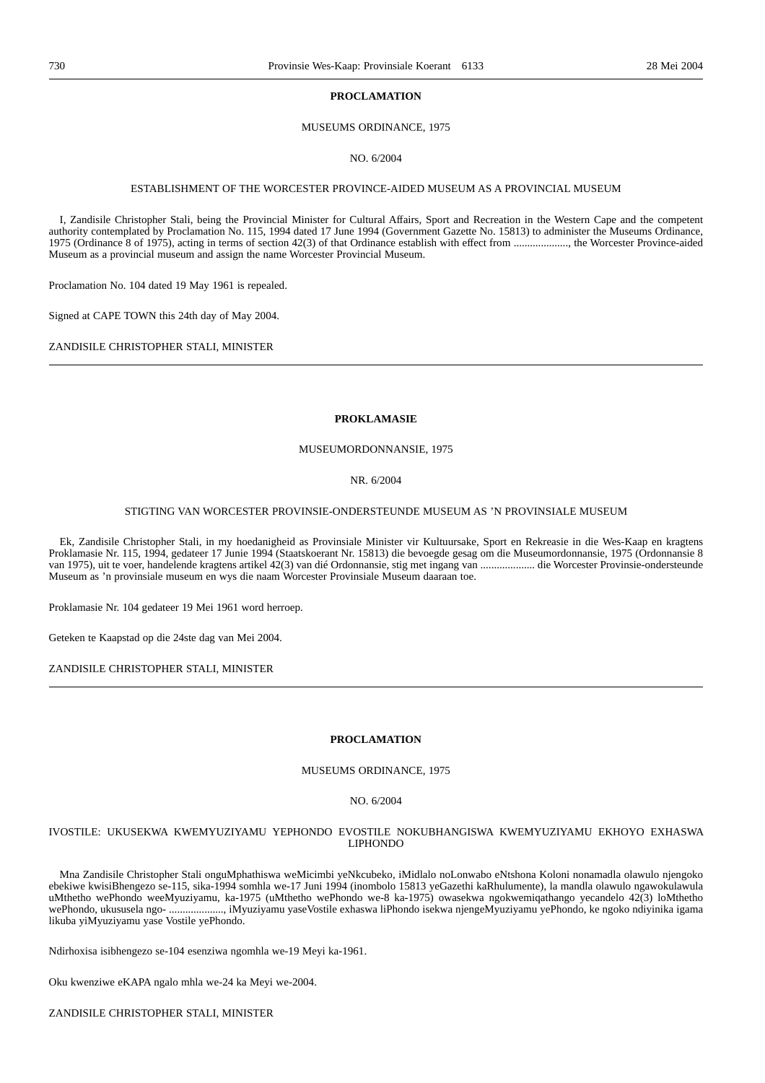#### **PROCLAMATION**

#### MUSEUMS ORDINANCE, 1975

NO. 6/2004

#### ESTABLISHMENT OF THE WORCESTER PROVINCE-AIDED MUSEUM AS A PROVINCIAL MUSEUM

I, Zandisile Christopher Stali, being the Provincial Minister for Cultural Affairs, Sport and Recreation in the Western Cape and the competent authority contemplated by Proclamation No. 115, 1994 dated 17 June 1994 (Government Gazette No. 15813) to administer the Museums Ordinance, 1975 (Ordinance 8 of 1975), acting in terms of section 42(3) of that Ordinance establish with effect from ...................., the Worcester Province-aided Museum as a provincial museum and assign the name Worcester Provincial Museum.

Proclamation No. 104 dated 19 May 1961 is repealed.

Signed at CAPE TOWN this 24th day of May 2004.

ZANDISILE CHRISTOPHER STALI, MINISTER

#### **PROKLAMASIE**

#### MUSEUMORDONNANSIE, 1975

#### NR. 6/2004

#### STIGTING VAN WORCESTER PROVINSIE-ONDERSTEUNDE MUSEUM AS 'N PROVINSIALE MUSEUM

Ek, Zandisile Christopher Stali, in my hoedanigheid as Provinsiale Minister vir Kultuursake, Sport en Rekreasie in die Wes-Kaap en kragtens Proklamasie Nr. 115, 1994, gedateer 17 Junie 1994 (Staatskoerant Nr. 15813) die bevoegde gesag om die Museumordonnansie, 1975 (Ordonnansie 8 van 1975), uit te voer, handelende kragtens artikel 42(3) van dié Ordonnansie, stig met ingang van .................... die Worcester Provinsie-ondersteunde Museum as 'n provinsiale museum en wys die naam Worcester Provinsiale Museum daaraan toe.

Proklamasie Nr. 104 gedateer 19 Mei 1961 word herroep.

Geteken te Kaapstad op die 24ste dag van Mei 2004.

ZANDISILE CHRISTOPHER STALI, MINISTER

#### **PROCLAMATION**

### MUSEUMS ORDINANCE, 1975

NO. 6/2004

#### IVOSTILE: UKUSEKWA KWEMYUZIYAMU YEPHONDO EVOSTILE NOKUBHANGISWA KWEMYUZIYAMU EKHOYO EXHASWA LIPHONDO

Mna Zandisile Christopher Stali onguMphathiswa weMicimbi yeNkcubeko, iMidlalo noLonwabo eNtshona Koloni nonamadla olawulo njengoko ebekiwe kwisiBhengezo se-115, sika-1994 somhla we-17 Juni 1994 (inombolo 15813 yeGazethi kaRhulumente), la mandla olawulo ngawokulawula uMthetho wePhondo weeMyuziyamu, ka-1975 (uMthetho wePhondo we-8 ka-1975) owasekwa ngokwemiqathango yecandelo 42(3) loMthetho wePhondo, ukususela ngo- ...................., iMyuziyamu yaseVostile exhaswa liPhondo isekwa njengeMyuziyamu yePhondo, ke ngoko ndiyinika igama likuba yiMyuziyamu yase Vostile yePhondo.

Ndirhoxisa isibhengezo se-104 esenziwa ngomhla we-19 Meyi ka-1961.

Oku kwenziwe eKAPA ngalo mhla we-24 ka Meyi we-2004.

ZANDISILE CHRISTOPHER STALI, MINISTER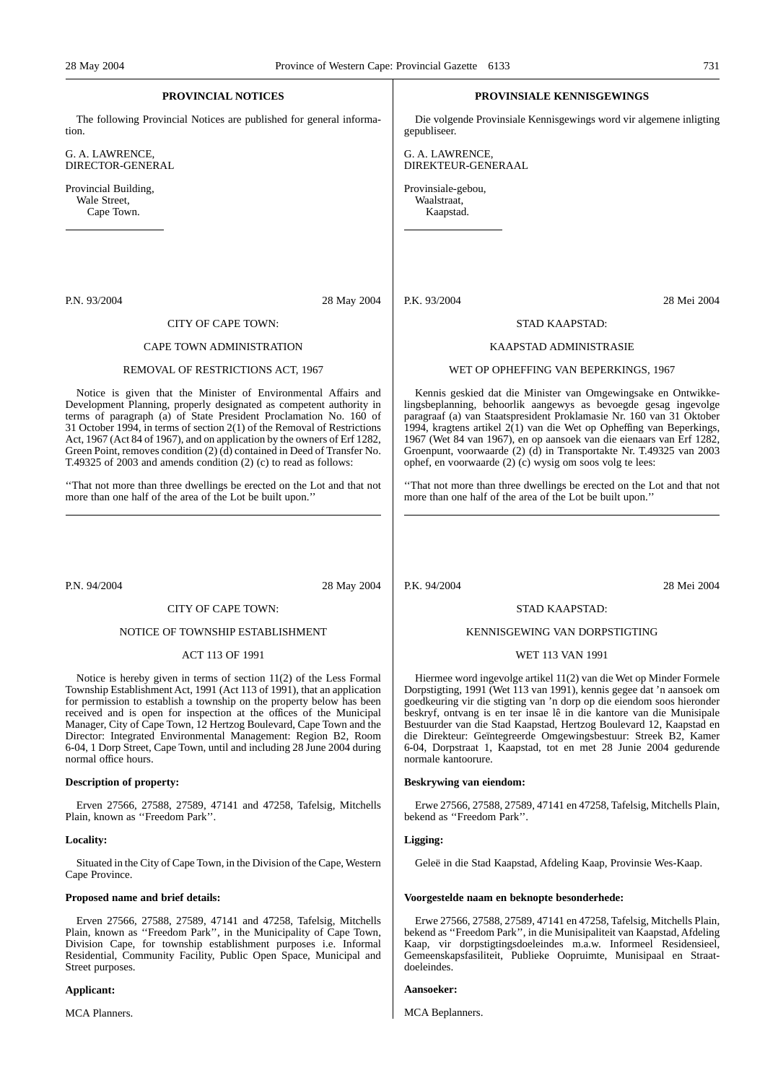### **PROVINCIAL NOTICES**

The following Provincial Notices are published for general information.

G. A. LAWRENCE, DIRECTOR-GENERAL

Provincial Building, Wale Street, Cape Town.

#### P.N. 93/2004 28 May 2004

#### CITY OF CAPE TOWN:

#### CAPE TOWN ADMINISTRATION

#### REMOVAL OF RESTRICTIONS ACT, 1967

Notice is given that the Minister of Environmental Affairs and Development Planning, properly designated as competent authority in terms of paragraph (a) of State President Proclamation No. 160 of 31 October 1994, in terms of section 2(1) of the Removal of Restrictions Act, 1967 (Act 84 of 1967), and on application by the owners of Erf 1282, Green Point, removes condition (2) (d) contained in Deed of Transfer No. T.49325 of 2003 and amends condition (2) (c) to read as follows:

''That not more than three dwellings be erected on the Lot and that not more than one half of the area of the Lot be built upon.''

P.N. 94/2004 28 May 2004

#### CITY OF CAPE TOWN:

#### NOTICE OF TOWNSHIP ESTABLISHMENT

#### ACT 113 OF 1991

Notice is hereby given in terms of section 11(2) of the Less Formal Township Establishment Act, 1991 (Act 113 of 1991), that an application for permission to establish a township on the property below has been received and is open for inspection at the offices of the Municipal Manager, City of Cape Town, 12 Hertzog Boulevard, Cape Town and the Director: Integrated Environmental Management: Region B2, Room 6-04, 1 Dorp Street, Cape Town, until and including 28 June 2004 during normal office hours.

#### **Description of property:**

Erven 27566, 27588, 27589, 47141 and 47258, Tafelsig, Mitchells Plain, known as ''Freedom Park''.

#### **Locality:**

Situated in the City of Cape Town, in the Division of the Cape, Western Cape Province.

#### **Proposed name and brief details:**

Erven 27566, 27588, 27589, 47141 and 47258, Tafelsig, Mitchells Plain, known as ''Freedom Park'', in the Municipality of Cape Town, Division Cape, for township establishment purposes i.e. Informal Residential, Community Facility, Public Open Space, Municipal and Street purposes.

#### **Applicant:**

MCA Planners.

#### **PROVINSIALE KENNISGEWINGS**

Die volgende Provinsiale Kennisgewings word vir algemene inligting gepubliseer.

G. A. LAWRENCE, DIREKTEUR-GENERAAL

Provinsiale-gebou, Waalstraat, Kaapstad.

#### P.K. 93/2004 28 Mei 2004

#### STAD KAAPSTAD:

#### KAAPSTAD ADMINISTRASIE

#### WET OP OPHEFFING VAN BEPERKINGS, 1967

Kennis geskied dat die Minister van Omgewingsake en Ontwikkelingsbeplanning, behoorlik aangewys as bevoegde gesag ingevolge paragraaf (a) van Staatspresident Proklamasie Nr. 160 van 31 Oktober 1994, kragtens artikel 2(1) van die Wet op Opheffing van Beperkings, 1967 (Wet 84 van 1967), en op aansoek van die eienaars van Erf 1282, Groenpunt, voorwaarde (2) (d) in Transportakte Nr. T.49325 van 2003 ophef, en voorwaarde (2) (c) wysig om soos volg te lees:

''That not more than three dwellings be erected on the Lot and that not more than one half of the area of the Lot be built upon.''

P.K. 94/2004 28 Mei 2004

#### STAD KAAPSTAD:

#### KENNISGEWING VAN DORPSTIGTING

#### WET 113 VAN 1991

Hiermee word ingevolge artikel 11(2) van die Wet op Minder Formele Dorpstigting, 1991 (Wet 113 van 1991), kennis gegee dat 'n aansoek om goedkeuring vir die stigting van 'n dorp op die eiendom soos hieronder beskryf, ontvang is en ter insae lê in die kantore van die Munisipale Bestuurder van die Stad Kaapstad, Hertzog Boulevard 12, Kaapstad en die Direkteur: Geïntegreerde Omgewingsbestuur: Streek B2, Kamer 6-04, Dorpstraat 1, Kaapstad, tot en met 28 Junie 2004 gedurende normale kantoorure.

#### **Beskrywing van eiendom:**

Erwe 27566, 27588, 27589, 47141 en 47258, Tafelsig, Mitchells Plain, bekend as ''Freedom Park''.

#### **Ligging:**

Geleë in die Stad Kaapstad, Afdeling Kaap, Provinsie Wes-Kaap.

#### **Voorgestelde naam en beknopte besonderhede:**

Erwe 27566, 27588, 27589, 47141 en 47258, Tafelsig, Mitchells Plain, bekend as ''Freedom Park'', in die Munisipaliteit van Kaapstad, Afdeling Kaap, vir dorpstigtingsdoeleindes m.a.w. Informeel Residensieel, Gemeenskapsfasiliteit, Publieke Oopruimte, Munisipaal en Straatdoeleindes.

#### **Aansoeker:**

MCA Beplanners.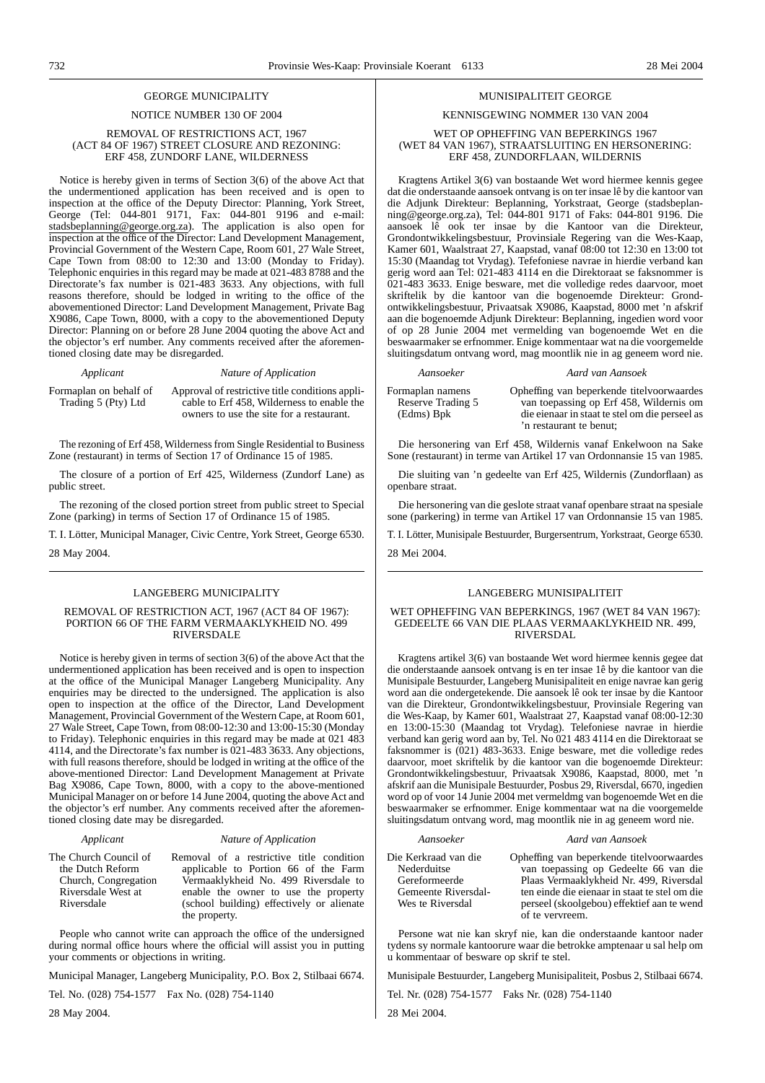#### GEORGE MUNICIPALITY

#### NOTICE NUMBER 130 OF 2004

#### REMOVAL OF RESTRICTIONS ACT, 1967 (ACT 84 OF 1967) STREET CLOSURE AND REZONING: ERF 458, ZUNDORF LANE, WILDERNESS

Notice is hereby given in terms of Section 3(6) of the above Act that the undermentioned application has been received and is open to inspection at the office of the Deputy Director: Planning, York Street, George (Tel: 044-801 9171, Fax: 044-801 9196 and e-mail: stadsbeplanning@george.org.za). The application is also open for inspection at the office of the Director: Land Development Management, Provincial Government of the Western Cape, Room 601, 27 Wale Street, Cape Town from 08:00 to 12:30 and 13:00 (Monday to Friday). Telephonic enquiries in this regard may be made at 021-483 8788 and the Directorate's fax number is 021-483 3633. Any objections, with full reasons therefore, should be lodged in writing to the office of the abovementioned Director: Land Development Management, Private Bag X9086, Cape Town, 8000, with a copy to the abovementioned Deputy Director: Planning on or before 28 June 2004 quoting the above Act and the objector's erf number. Any comments received after the aforementioned closing date may be disregarded.

#### *Applicant Nature of Application*

Formaplan on behalf of Trading 5 (Pty) Ltd

Approval of restrictive title conditions applicable to Erf 458, Wilderness to enable the owners to use the site for a restaurant.

The rezoning of Erf 458, Wilderness from Single Residential to Business Zone (restaurant) in terms of Section 17 of Ordinance 15 of 1985.

The closure of a portion of Erf 425, Wilderness (Zundorf Lane) as public street.

The rezoning of the closed portion street from public street to Special Zone (parking) in terms of Section 17 of Ordinance 15 of 1985.

T. I. Lötter, Municipal Manager, Civic Centre, York Street, George 6530.

### 28 May 2004.

#### LANGEBERG MUNICIPALITY

#### REMOVAL OF RESTRICTION ACT, 1967 (ACT 84 OF 1967): PORTION 66 OF THE FARM VERMAAKLYKHEID NO. 499 RIVERSDALE

Notice is hereby given in terms of section 3(6) of the above Act that the undermentioned application has been received and is open to inspection at the office of the Municipal Manager Langeberg Municipality. Any enquiries may be directed to the undersigned. The application is also open to inspection at the office of the Director, Land Development Management, Provincial Government of the Western Cape, at Room 601, 27 Wale Street, Cape Town, from 08:00-12:30 and 13:00-15:30 (Monday to Friday). Telephonic enquiries in this regard may be made at 021 483 4114, and the Directorate's fax number is 021-483 3633. Any objections, with full reasons therefore, should be lodged in writing at the office of the above-mentioned Director: Land Development Management at Private Bag X9086, Cape Town, 8000, with a copy to the above-mentioned Municipal Manager on or before 14 June 2004, quoting the above Act and the objector's erf number. Any comments received after the aforementioned closing date may be disregarded.

#### *Applicant Nature of Application*

| The Church Council of | Removal of a restrictive title condition  |
|-----------------------|-------------------------------------------|
| the Dutch Reform      | applicable to Portion 66 of the Farm      |
| Church, Congregation  | Vermaaklykheid No. 499 Riversdale to      |
| Riversdale West at    | enable the owner to use the property      |
| Riversdale            | (school building) effectively or alienate |
|                       | the property.                             |

People who cannot write can approach the office of the undersigned during normal office hours where the official will assist you in putting your comments or objections in writing.

Municipal Manager, Langeberg Municipality, P.O. Box 2, Stilbaai 6674.

Tel. No. (028) 754-1577 Fax No. (028) 754-1140

28 May 2004.

#### MUNISIPALITEIT GEORGE

#### KENNISGEWING NOMMER 130 VAN 2004

#### WET OP OPHEFFING VAN BEPERKINGS 1967 (WET 84 VAN 1967), STRAATSLUITING EN HERSONERING: ERF 458, ZUNDORFLAAN, WILDERNIS

Kragtens Artikel 3(6) van bostaande Wet word hiermee kennis gegee dat die onderstaande aansoek ontvang is on ter insae lê by die kantoor van die Adjunk Direkteur: Beplanning, Yorkstraat, George (stadsbeplanning@george.org.za), Tel: 044-801 9171 of Faks: 044-801 9196. Die aansoek lê ook ter insae by die Kantoor van die Direkteur, Grondontwikkelingsbestuur, Provinsiale Regering van die Wes-Kaap, Kamer 601, Waalstraat 27, Kaapstad, vanaf 08:00 tot 12:30 en 13:00 tot 15:30 (Maandag tot Vrydag). Tefefoniese navrae in hierdie verband kan gerig word aan Tel: 021-483 4114 en die Direktoraat se faksnommer is 021-483 3633. Enige besware, met die volledige redes daarvoor, moet skriftelik by die kantoor van die bogenoemde Direkteur: Grondontwikkelingsbestuur, Privaatsak X9086, Kaapstad, 8000 met 'n afskrif aan die bogenoemde Adjunk Direkteur: Beplanning, ingedien word voor of op 28 Junie 2004 met vermelding van bogenoemde Wet en die beswaarmaker se erfnommer. Enige kommentaar wat na die voorgemelde sluitingsdatum ontvang word, mag moontlik nie in ag geneem word nie.

#### *Aansoeker Aard van Aansoek*

Formaplan namens Reserve Trading 5 (Edms) Bpk

Opheffing van beperkende titelvoorwaardes van toepassing op Erf 458, Wildernis om die eienaar in staat te stel om die perseel as 'n restaurant te benut;

Die hersonering van Erf 458, Wildernis vanaf Enkelwoon na Sake Sone (restaurant) in terme van Artikel 17 van Ordonnansie 15 van 1985.

Die sluiting van 'n gedeelte van Erf 425, Wildernis (Zundorflaan) as openbare straat.

Die hersonering van die geslote straat vanaf openbare straat na spesiale sone (parkering) in terme van Artikel 17 van Ordonnansie 15 van 1985.

T. I. Lötter, Munisipale Bestuurder, Burgersentrum, Yorkstraat, George 6530.

28 Mei 2004.

#### LANGEBERG MUNISIPALITEIT

#### WET OPHEFFING VAN BEPERKINGS, 1967 (WET 84 VAN 1967): GEDEELTE 66 VAN DIE PLAAS VERMAAKLYKHEID NR. 499, RIVERSDAL

Kragtens artikel 3(6) van bostaande Wet word hiermee kennis gegee dat die onderstaande aansoek ontvang is en ter insae 1ê by die kantoor van die Munisipale Bestuurder, Langeberg Munisipaliteit en enige navrae kan gerig word aan die ondergetekende. Die aansoek lê ook ter insae by die Kantoor van die Direkteur, Grondontwikkelingsbestuur, Provinsiale Regering van die Wes-Kaap, by Kamer 601, Waalstraat 27, Kaapstad vanaf 08:00-12:30 en 13:00-15:30 (Maandag tot Vrydag). Telefoniese navrae in hierdie verband kan gerig word aan by, Tel. No 021 483 4114 en die Direktoraat se faksnommer is (021) 483-3633. Enige besware, met die volledige redes daarvoor, moet skriftelik by die kantoor van die bogenoemde Direkteur: Grondontwikkelingsbestuur, Privaatsak X9086, Kaapstad, 8000, met 'n afskrif aan die Munisipale Bestuurder, Posbus 29, Riversdal, 6670, ingedien word op of voor 14 Junie 2004 met vermeldmg van bogenoemde Wet en die beswaarmaker se erfnommer. Enige kommentaar wat na die voorgemelde sluitingsdatum ontvang word, mag moontlik nie in ag geneem word nie.

| Aansoeker            | Aard van Aansoek                              |
|----------------------|-----------------------------------------------|
| Die Kerkraad van die | Opheffing van beperkende titelvoorwaardes     |
| Nederduitse          | van toepassing op Gedeelte 66 van die         |
| Gereformeerde        | Plaas Vermaaklykheid Nr. 499, Riversdal       |
| Gemeente Riversdal-  | ten einde die eienaar in staat te stel om die |
| Wes te Riversdal     | perseel (skoolgebou) effektief aan te wend    |
|                      | of te vervreem.                               |

Persone wat nie kan skryf nie, kan die onderstaande kantoor nader tydens sy normale kantoorure waar die betrokke amptenaar u sal help om u kommentaar of besware op skrif te stel.

Munisipale Bestuurder, Langeberg Munisipaliteit, Posbus 2, Stilbaai 6674.

Tel. Nr. (028) 754-1577 Faks Nr. (028) 754-1140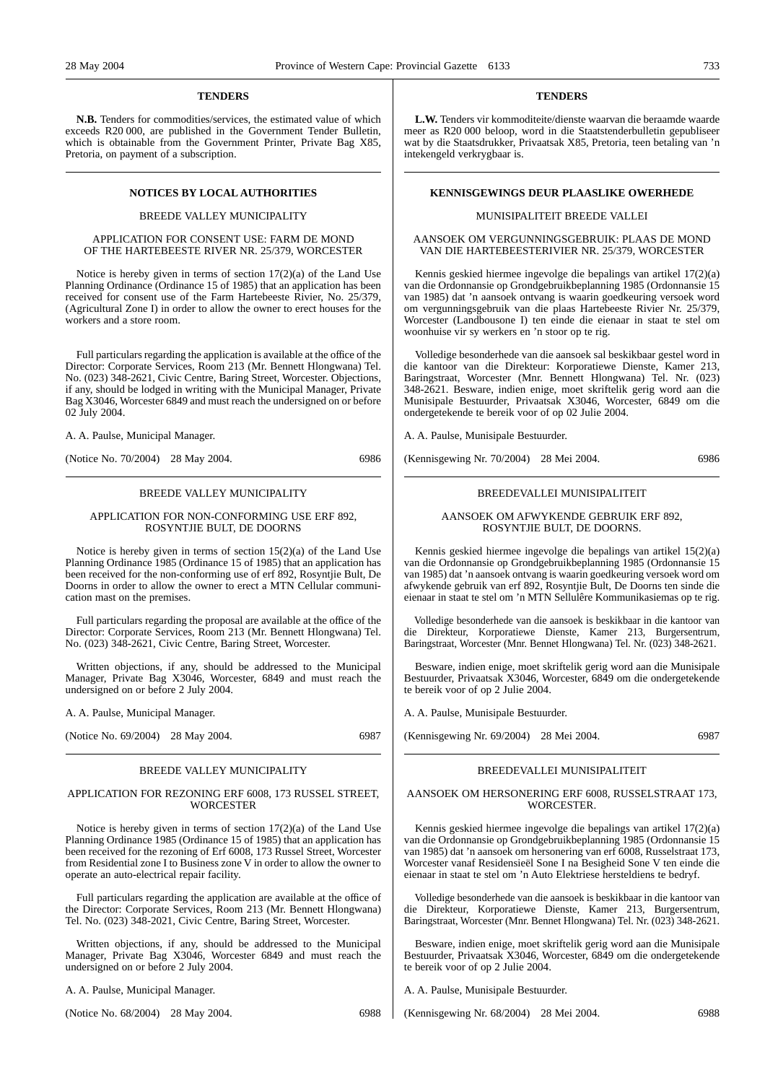#### **TENDERS**

**N.B.** Tenders for commodities/services, the estimated value of which exceeds R20 000, are published in the Government Tender Bulletin, which is obtainable from the Government Printer, Private Bag X85, Pretoria, on payment of a subscription.

#### BREEDE VALLEY MUNICIPALITY

#### APPLICATION FOR CONSENT USE: FARM DE MOND OF THE HARTEBEESTE RIVER NR. 25/379, WORCESTER

Notice is hereby given in terms of section 17(2)(a) of the Land Use Planning Ordinance (Ordinance 15 of 1985) that an application has been received for consent use of the Farm Hartebeeste Rivier, No. 25/379, (Agricultural Zone I) in order to allow the owner to erect houses for the workers and a store room.

Full particulars regarding the application is available at the office of the Director: Corporate Services, Room 213 (Mr. Bennett Hlongwana) Tel. No. (023) 348-2621, Civic Centre, Baring Street, Worcester. Objections, if any, should be lodged in writing with the Municipal Manager, Private Bag X3046, Worcester 6849 and must reach the undersigned on or before 02 July 2004.

A. A. Paulse, Municipal Manager.

(Notice No. 70/2004) 28 May 2004. 6986

#### BREEDE VALLEY MUNICIPALITY

#### APPLICATION FOR NON-CONFORMING USE ERF 892, ROSYNTJIE BULT, DE DOORNS

Notice is hereby given in terms of section 15(2)(a) of the Land Use Planning Ordinance 1985 (Ordinance 15 of 1985) that an application has been received for the non-conforming use of erf 892, Rosyntjie Bult, De Doorns in order to allow the owner to erect a MTN Cellular communication mast on the premises.

Full particulars regarding the proposal are available at the office of the Director: Corporate Services, Room 213 (Mr. Bennett Hlongwana) Tel. No. (023) 348-2621, Civic Centre, Baring Street, Worcester.

Written objections, if any, should be addressed to the Municipal Manager, Private Bag X3046, Worcester, 6849 and must reach the undersigned on or before 2 July 2004.

A. A. Paulse, Municipal Manager.

(Notice No. 69/2004) 28 May 2004. 6987

#### BREEDE VALLEY MUNICIPALITY

#### APPLICATION FOR REZONING ERF 6008, 173 RUSSEL STREET, **WORCESTER**

Notice is hereby given in terms of section 17(2)(a) of the Land Use Planning Ordinance 1985 (Ordinance 15 of 1985) that an application has been received for the rezoning of Erf 6008, 173 Russel Street, Worcester from Residential zone I to Business zone V in order to allow the owner to operate an auto-electrical repair facility.

Full particulars regarding the application are available at the office of the Director: Corporate Services, Room 213 (Mr. Bennett Hlongwana) Tel. No. (023) 348-2021, Civic Centre, Baring Street, Worcester.

Written objections, if any, should be addressed to the Municipal Manager, Private Bag X3046, Worcester 6849 and must reach the undersigned on or before 2 July 2004.

A. A. Paulse, Municipal Manager.

(Notice No. 68/2004) 28 May 2004. 6988

#### **TENDERS**

**L.W.** Tenders vir kommoditeite/dienste waarvan die beraamde waarde meer as R20 000 beloop, word in die Staatstenderbulletin gepubliseer wat by die Staatsdrukker, Privaatsak X85, Pretoria, teen betaling van 'n intekengeld verkrygbaar is.

#### **NOTICES BY LOCAL AUTHORITIES EXECUTES KENNISGEWINGS DEUR PLAASLIKE OWERHEDE**

#### MUNISIPALITEIT BREEDE VALLEI

#### AANSOEK OM VERGUNNINGSGEBRUIK: PLAAS DE MOND VAN DIE HARTEBEESTERIVIER NR. 25/379, WORCESTER

Kennis geskied hiermee ingevolge die bepalings van artikel 17(2)(a) van die Ordonnansie op Grondgebruikbeplanning 1985 (Ordonnansie 15 van 1985) dat 'n aansoek ontvang is waarin goedkeuring versoek word om vergunningsgebruik van die plaas Hartebeeste Rivier Nr. 25/379, Worcester (Landbousone I) ten einde die eienaar in staat te stel om woonhuise vir sy werkers en 'n stoor op te rig.

Volledige besonderhede van die aansoek sal beskikbaar gestel word in die kantoor van die Direkteur: Korporatiewe Dienste, Kamer 213, Baringstraat, Worcester (Mnr. Bennett Hlongwana) Tel. Nr. (023) 348-2621. Besware, indien enige, moet skriftelik gerig word aan die Munisipale Bestuurder, Privaatsak X3046, Worcester, 6849 om die ondergetekende te bereik voor of op 02 Julie 2004.

A. A. Paulse, Munisipale Bestuurder.

(Kennisgewing Nr. 70/2004) 28 Mei 2004. 6986

#### BREEDEVALLEI MUNISIPALITEIT

#### AANSOEK OM AFWYKENDE GEBRUIK ERF 892, ROSYNTJIE BULT, DE DOORNS.

Kennis geskied hiermee ingevolge die bepalings van artikel 15(2)(a) van die Ordonnansie op Grondgebruikbeplanning 1985 (Ordonnansie 15 van 1985) dat 'n aansoek ontvang is waarin goedkeuring versoek word om afwykende gebruik van erf 892, Rosyntjie Bult, De Doorns ten sinde die eienaar in staat te stel om 'n MTN Sellulêre Kommunikasiemas op te rig.

Volledige besonderhede van die aansoek is beskikbaar in die kantoor van die Direkteur, Korporatiewe Dienste, Kamer 213, Burgersentrum, Baringstraat, Worcester (Mnr. Bennet Hlongwana) Tel. Nr. (023) 348-2621.

Besware, indien enige, moet skriftelik gerig word aan die Munisipale Bestuurder, Privaatsak X3046, Worcester, 6849 om die ondergetekende te bereik voor of op 2 Julie 2004.

A. A. Paulse, Munisipale Bestuurder.

(Kennisgewing Nr. 69/2004) 28 Mei 2004. 6987

#### BREEDEVALLEI MUNISIPALITEIT

#### AANSOEK OM HERSONERING ERF 6008, RUSSELSTRAAT 173, WORCESTER.

Kennis geskied hiermee ingevolge die bepalings van artikel 17(2)(a) van die Ordonnansie op Grondgebruikbeplanning 1985 (Ordonnansie 15 van 1985) dat 'n aansoek om hersonering van erf 6008, Russelstraat 173, Worcester vanaf Residensieël Sone I na Besigheid Sone V ten einde die eienaar in staat te stel om 'n Auto Elektriese hersteldiens te bedryf.

Volledige besonderhede van die aansoek is beskikbaar in die kantoor van die Direkteur, Korporatiewe Dienste, Kamer 213, Burgersentrum, Baringstraat, Worcester (Mnr. Bennet Hlongwana) Tel. Nr. (023) 348-2621.

Besware, indien enige, moet skriftelik gerig word aan die Munisipale Bestuurder, Privaatsak X3046, Worcester, 6849 om die ondergetekende te bereik voor of op 2 Julie 2004.

A. A. Paulse, Munisipale Bestuurder.

(Kennisgewing Nr. 68/2004) 28 Mei 2004. 6988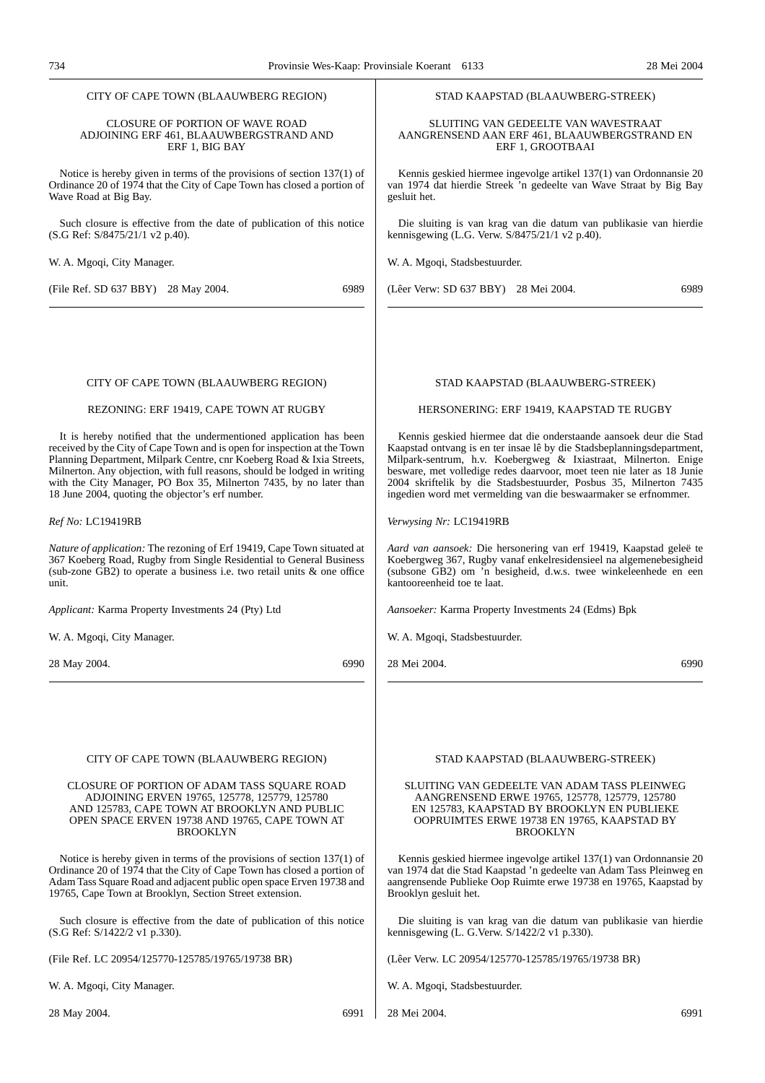| CLOSURE OF PORTION OF WAVE ROAD<br>SLUITING VAN GEDEELTE VAN WAVESTRAAT<br>ADJOINING ERF 461, BLAAUWBERGSTRAND AND<br>AANGRENSEND AAN ERF 461, BLAAUWBERGSTRAND EN<br>ERF 1, BIG BAY<br>ERF 1, GROOTBAAI<br>Kennis geskied hiermee ingevolge artikel 137(1) van Ordonnansie 20<br>Notice is hereby given in terms of the provisions of section $137(1)$ of<br>Ordinance 20 of 1974 that the City of Cape Town has closed a portion of<br>van 1974 dat hierdie Streek 'n gedeelte van Wave Straat by Big Bay<br>Wave Road at Big Bay.<br>gesluit het.<br>Such closure is effective from the date of publication of this notice<br>Die sluiting is van krag van die datum van publikasie van hierdie<br>kennisgewing (L.G. Verw. S/8475/21/1 v2 p.40).<br>(S.G Ref: S/8475/21/1 v2 p.40).<br>W. A. Mgoqi, Stadsbestuurder.<br>W. A. Mgoqi, City Manager.<br>6989<br>6989<br>(File Ref. SD 637 BBY) 28 May 2004.<br>(Lêer Verw: SD 637 BBY) 28 Mei 2004.<br>CITY OF CAPE TOWN (BLAAUWBERG REGION)<br>STAD KAAPSTAD (BLAAUWBERG-STREEK)<br>REZONING: ERF 19419, CAPE TOWN AT RUGBY<br>HERSONERING: ERF 19419, KAAPSTAD TE RUGBY<br>It is hereby notified that the undermentioned application has been<br>Kennis geskied hiermee dat die onderstaande aansoek deur die Stad<br>received by the City of Cape Town and is open for inspection at the Town<br>Kaapstad ontvang is en ter insae lê by die Stadsbeplanningsdepartment,<br>Planning Department, Milpark Centre, cnr Koeberg Road & Ixia Streets,<br>Milpark-sentrum, h.v. Koebergweg & Ixiastraat, Milnerton. Enige<br>Milnerton. Any objection, with full reasons, should be lodged in writing<br>besware, met volledige redes daarvoor, moet teen nie later as 18 Junie<br>2004 skriftelik by die Stadsbestuurder, Posbus 35, Milnerton 7435<br>with the City Manager, PO Box 35, Milnerton 7435, by no later than<br>18 June 2004, quoting the objector's erf number.<br>ingedien word met vermelding van die beswaarmaker se erfnommer.<br>Ref No: LC19419RB<br>Verwysing Nr: LC19419RB<br><i>Nature of application:</i> The rezoning of Erf 19419, Cape Town situated at<br>Aard van aansoek: Die hersonering van erf 19419, Kaapstad geleë te<br>367 Koeberg Road, Rugby from Single Residential to General Business<br>Koebergweg 367, Rugby vanaf enkelresidensieel na algemenebesigheid<br>(subsone GB2) om 'n besigheid, d.w.s. twee winkeleenhede en een<br>(sub-zone GB2) to operate a business i.e. two retail units & one office<br>kantooreenheid toe te laat.<br>unit.<br>Applicant: Karma Property Investments 24 (Pty) Ltd<br>Aansoeker: Karma Property Investments 24 (Edms) Bpk<br>W. A. Mgoqi, City Manager.<br>W. A. Mgoqi, Stadsbestuurder.<br>6990<br>28 Mei 2004.<br>6990<br>28 May 2004.<br>CITY OF CAPE TOWN (BLAAUWBERG REGION)<br>STAD KAAPSTAD (BLAAUWBERG-STREEK)<br>CLOSURE OF PORTION OF ADAM TASS SQUARE ROAD<br>SLUITING VAN GEDEELTE VAN ADAM TASS PLEINWEG<br>ADJOINING ERVEN 19765, 125778, 125779, 125780<br>AANGRENSEND ERWE 19765, 125778, 125779, 125780<br>AND 125783, CAPE TOWN AT BROOKLYN AND PUBLIC<br>EN 125783, KAAPSTAD BY BROOKLYN EN PUBLIEKE<br>OPEN SPACE ERVEN 19738 AND 19765, CAPE TOWN AT<br>OOPRUIMTES ERWE 19738 EN 19765, KAAPSTAD BY<br><b>BROOKLYN</b><br><b>BROOKLYN</b><br>Notice is hereby given in terms of the provisions of section $137(1)$ of<br>Kennis geskied hiermee ingevolge artikel 137(1) van Ordonnansie 20<br>Ordinance 20 of 1974 that the City of Cape Town has closed a portion of<br>van 1974 dat die Stad Kaapstad 'n gedeelte van Adam Tass Pleinweg en<br>aangrensende Publieke Oop Ruimte erwe 19738 en 19765, Kaapstad by<br>Adam Tass Square Road and adjacent public open space Erven 19738 and<br>19765, Cape Town at Brooklyn, Section Street extension.<br>Brooklyn gesluit het.<br>Such closure is effective from the date of publication of this notice<br>Die sluiting is van krag van die datum van publikasie van hierdie<br>kennisgewing (L. G. Verw. $S/1422/2$ v1 p.330).<br>(S.G Ref: S/1422/2 v1 p.330).<br>(File Ref. LC 20954/125770-125785/19765/19738 BR)<br>(Lêer Verw. LC 20954/125770-125785/19765/19738 BR)<br>W. A. Mgoqi, City Manager.<br>W. A. Mgoqi, Stadsbestuurder.<br>28 Mei 2004.<br>28 May 2004.<br>6991<br>6991 | CITY OF CAPE TOWN (BLAAUWBERG REGION) | STAD KAAPSTAD (BLAAUWBERG-STREEK) |  |  |  |
|-------------------------------------------------------------------------------------------------------------------------------------------------------------------------------------------------------------------------------------------------------------------------------------------------------------------------------------------------------------------------------------------------------------------------------------------------------------------------------------------------------------------------------------------------------------------------------------------------------------------------------------------------------------------------------------------------------------------------------------------------------------------------------------------------------------------------------------------------------------------------------------------------------------------------------------------------------------------------------------------------------------------------------------------------------------------------------------------------------------------------------------------------------------------------------------------------------------------------------------------------------------------------------------------------------------------------------------------------------------------------------------------------------------------------------------------------------------------------------------------------------------------------------------------------------------------------------------------------------------------------------------------------------------------------------------------------------------------------------------------------------------------------------------------------------------------------------------------------------------------------------------------------------------------------------------------------------------------------------------------------------------------------------------------------------------------------------------------------------------------------------------------------------------------------------------------------------------------------------------------------------------------------------------------------------------------------------------------------------------------------------------------------------------------------------------------------------------------------------------------------------------------------------------------------------------------------------------------------------------------------------------------------------------------------------------------------------------------------------------------------------------------------------------------------------------------------------------------------------------------------------------------------------------------------------------------------------------------------------------------------------------------------------------------------------------------------------------------------------------------------------------------------------------------------------------------------------------------------------------------------------------------------------------------------------------------------------------------------------------------------------------------------------------------------------------------------------------------------------------------------------------------------------------------------------------------------------------------------------------------------------------------------------------------------------------------------------------------------------------------------------------------------------------------------------------------------------------------------------------------------------------------------------------------------------------------------------------------------------------------------------------------------------------------------------------------------------------------------------------------------------------------------------------------------------------------------------------------------------------------------------------------------------------------------|---------------------------------------|-----------------------------------|--|--|--|
|                                                                                                                                                                                                                                                                                                                                                                                                                                                                                                                                                                                                                                                                                                                                                                                                                                                                                                                                                                                                                                                                                                                                                                                                                                                                                                                                                                                                                                                                                                                                                                                                                                                                                                                                                                                                                                                                                                                                                                                                                                                                                                                                                                                                                                                                                                                                                                                                                                                                                                                                                                                                                                                                                                                                                                                                                                                                                                                                                                                                                                                                                                                                                                                                                                                                                                                                                                                                                                                                                                                                                                                                                                                                                                                                                                                                                                                                                                                                                                                                                                                                                                                                                                                                                                                                                                 |                                       |                                   |  |  |  |
|                                                                                                                                                                                                                                                                                                                                                                                                                                                                                                                                                                                                                                                                                                                                                                                                                                                                                                                                                                                                                                                                                                                                                                                                                                                                                                                                                                                                                                                                                                                                                                                                                                                                                                                                                                                                                                                                                                                                                                                                                                                                                                                                                                                                                                                                                                                                                                                                                                                                                                                                                                                                                                                                                                                                                                                                                                                                                                                                                                                                                                                                                                                                                                                                                                                                                                                                                                                                                                                                                                                                                                                                                                                                                                                                                                                                                                                                                                                                                                                                                                                                                                                                                                                                                                                                                                 |                                       |                                   |  |  |  |
|                                                                                                                                                                                                                                                                                                                                                                                                                                                                                                                                                                                                                                                                                                                                                                                                                                                                                                                                                                                                                                                                                                                                                                                                                                                                                                                                                                                                                                                                                                                                                                                                                                                                                                                                                                                                                                                                                                                                                                                                                                                                                                                                                                                                                                                                                                                                                                                                                                                                                                                                                                                                                                                                                                                                                                                                                                                                                                                                                                                                                                                                                                                                                                                                                                                                                                                                                                                                                                                                                                                                                                                                                                                                                                                                                                                                                                                                                                                                                                                                                                                                                                                                                                                                                                                                                                 |                                       |                                   |  |  |  |
|                                                                                                                                                                                                                                                                                                                                                                                                                                                                                                                                                                                                                                                                                                                                                                                                                                                                                                                                                                                                                                                                                                                                                                                                                                                                                                                                                                                                                                                                                                                                                                                                                                                                                                                                                                                                                                                                                                                                                                                                                                                                                                                                                                                                                                                                                                                                                                                                                                                                                                                                                                                                                                                                                                                                                                                                                                                                                                                                                                                                                                                                                                                                                                                                                                                                                                                                                                                                                                                                                                                                                                                                                                                                                                                                                                                                                                                                                                                                                                                                                                                                                                                                                                                                                                                                                                 |                                       |                                   |  |  |  |
|                                                                                                                                                                                                                                                                                                                                                                                                                                                                                                                                                                                                                                                                                                                                                                                                                                                                                                                                                                                                                                                                                                                                                                                                                                                                                                                                                                                                                                                                                                                                                                                                                                                                                                                                                                                                                                                                                                                                                                                                                                                                                                                                                                                                                                                                                                                                                                                                                                                                                                                                                                                                                                                                                                                                                                                                                                                                                                                                                                                                                                                                                                                                                                                                                                                                                                                                                                                                                                                                                                                                                                                                                                                                                                                                                                                                                                                                                                                                                                                                                                                                                                                                                                                                                                                                                                 |                                       |                                   |  |  |  |
|                                                                                                                                                                                                                                                                                                                                                                                                                                                                                                                                                                                                                                                                                                                                                                                                                                                                                                                                                                                                                                                                                                                                                                                                                                                                                                                                                                                                                                                                                                                                                                                                                                                                                                                                                                                                                                                                                                                                                                                                                                                                                                                                                                                                                                                                                                                                                                                                                                                                                                                                                                                                                                                                                                                                                                                                                                                                                                                                                                                                                                                                                                                                                                                                                                                                                                                                                                                                                                                                                                                                                                                                                                                                                                                                                                                                                                                                                                                                                                                                                                                                                                                                                                                                                                                                                                 |                                       |                                   |  |  |  |
|                                                                                                                                                                                                                                                                                                                                                                                                                                                                                                                                                                                                                                                                                                                                                                                                                                                                                                                                                                                                                                                                                                                                                                                                                                                                                                                                                                                                                                                                                                                                                                                                                                                                                                                                                                                                                                                                                                                                                                                                                                                                                                                                                                                                                                                                                                                                                                                                                                                                                                                                                                                                                                                                                                                                                                                                                                                                                                                                                                                                                                                                                                                                                                                                                                                                                                                                                                                                                                                                                                                                                                                                                                                                                                                                                                                                                                                                                                                                                                                                                                                                                                                                                                                                                                                                                                 |                                       |                                   |  |  |  |
|                                                                                                                                                                                                                                                                                                                                                                                                                                                                                                                                                                                                                                                                                                                                                                                                                                                                                                                                                                                                                                                                                                                                                                                                                                                                                                                                                                                                                                                                                                                                                                                                                                                                                                                                                                                                                                                                                                                                                                                                                                                                                                                                                                                                                                                                                                                                                                                                                                                                                                                                                                                                                                                                                                                                                                                                                                                                                                                                                                                                                                                                                                                                                                                                                                                                                                                                                                                                                                                                                                                                                                                                                                                                                                                                                                                                                                                                                                                                                                                                                                                                                                                                                                                                                                                                                                 |                                       |                                   |  |  |  |
|                                                                                                                                                                                                                                                                                                                                                                                                                                                                                                                                                                                                                                                                                                                                                                                                                                                                                                                                                                                                                                                                                                                                                                                                                                                                                                                                                                                                                                                                                                                                                                                                                                                                                                                                                                                                                                                                                                                                                                                                                                                                                                                                                                                                                                                                                                                                                                                                                                                                                                                                                                                                                                                                                                                                                                                                                                                                                                                                                                                                                                                                                                                                                                                                                                                                                                                                                                                                                                                                                                                                                                                                                                                                                                                                                                                                                                                                                                                                                                                                                                                                                                                                                                                                                                                                                                 |                                       |                                   |  |  |  |
|                                                                                                                                                                                                                                                                                                                                                                                                                                                                                                                                                                                                                                                                                                                                                                                                                                                                                                                                                                                                                                                                                                                                                                                                                                                                                                                                                                                                                                                                                                                                                                                                                                                                                                                                                                                                                                                                                                                                                                                                                                                                                                                                                                                                                                                                                                                                                                                                                                                                                                                                                                                                                                                                                                                                                                                                                                                                                                                                                                                                                                                                                                                                                                                                                                                                                                                                                                                                                                                                                                                                                                                                                                                                                                                                                                                                                                                                                                                                                                                                                                                                                                                                                                                                                                                                                                 |                                       |                                   |  |  |  |
|                                                                                                                                                                                                                                                                                                                                                                                                                                                                                                                                                                                                                                                                                                                                                                                                                                                                                                                                                                                                                                                                                                                                                                                                                                                                                                                                                                                                                                                                                                                                                                                                                                                                                                                                                                                                                                                                                                                                                                                                                                                                                                                                                                                                                                                                                                                                                                                                                                                                                                                                                                                                                                                                                                                                                                                                                                                                                                                                                                                                                                                                                                                                                                                                                                                                                                                                                                                                                                                                                                                                                                                                                                                                                                                                                                                                                                                                                                                                                                                                                                                                                                                                                                                                                                                                                                 |                                       |                                   |  |  |  |
|                                                                                                                                                                                                                                                                                                                                                                                                                                                                                                                                                                                                                                                                                                                                                                                                                                                                                                                                                                                                                                                                                                                                                                                                                                                                                                                                                                                                                                                                                                                                                                                                                                                                                                                                                                                                                                                                                                                                                                                                                                                                                                                                                                                                                                                                                                                                                                                                                                                                                                                                                                                                                                                                                                                                                                                                                                                                                                                                                                                                                                                                                                                                                                                                                                                                                                                                                                                                                                                                                                                                                                                                                                                                                                                                                                                                                                                                                                                                                                                                                                                                                                                                                                                                                                                                                                 |                                       |                                   |  |  |  |
|                                                                                                                                                                                                                                                                                                                                                                                                                                                                                                                                                                                                                                                                                                                                                                                                                                                                                                                                                                                                                                                                                                                                                                                                                                                                                                                                                                                                                                                                                                                                                                                                                                                                                                                                                                                                                                                                                                                                                                                                                                                                                                                                                                                                                                                                                                                                                                                                                                                                                                                                                                                                                                                                                                                                                                                                                                                                                                                                                                                                                                                                                                                                                                                                                                                                                                                                                                                                                                                                                                                                                                                                                                                                                                                                                                                                                                                                                                                                                                                                                                                                                                                                                                                                                                                                                                 |                                       |                                   |  |  |  |
|                                                                                                                                                                                                                                                                                                                                                                                                                                                                                                                                                                                                                                                                                                                                                                                                                                                                                                                                                                                                                                                                                                                                                                                                                                                                                                                                                                                                                                                                                                                                                                                                                                                                                                                                                                                                                                                                                                                                                                                                                                                                                                                                                                                                                                                                                                                                                                                                                                                                                                                                                                                                                                                                                                                                                                                                                                                                                                                                                                                                                                                                                                                                                                                                                                                                                                                                                                                                                                                                                                                                                                                                                                                                                                                                                                                                                                                                                                                                                                                                                                                                                                                                                                                                                                                                                                 |                                       |                                   |  |  |  |
|                                                                                                                                                                                                                                                                                                                                                                                                                                                                                                                                                                                                                                                                                                                                                                                                                                                                                                                                                                                                                                                                                                                                                                                                                                                                                                                                                                                                                                                                                                                                                                                                                                                                                                                                                                                                                                                                                                                                                                                                                                                                                                                                                                                                                                                                                                                                                                                                                                                                                                                                                                                                                                                                                                                                                                                                                                                                                                                                                                                                                                                                                                                                                                                                                                                                                                                                                                                                                                                                                                                                                                                                                                                                                                                                                                                                                                                                                                                                                                                                                                                                                                                                                                                                                                                                                                 |                                       |                                   |  |  |  |
|                                                                                                                                                                                                                                                                                                                                                                                                                                                                                                                                                                                                                                                                                                                                                                                                                                                                                                                                                                                                                                                                                                                                                                                                                                                                                                                                                                                                                                                                                                                                                                                                                                                                                                                                                                                                                                                                                                                                                                                                                                                                                                                                                                                                                                                                                                                                                                                                                                                                                                                                                                                                                                                                                                                                                                                                                                                                                                                                                                                                                                                                                                                                                                                                                                                                                                                                                                                                                                                                                                                                                                                                                                                                                                                                                                                                                                                                                                                                                                                                                                                                                                                                                                                                                                                                                                 |                                       |                                   |  |  |  |
|                                                                                                                                                                                                                                                                                                                                                                                                                                                                                                                                                                                                                                                                                                                                                                                                                                                                                                                                                                                                                                                                                                                                                                                                                                                                                                                                                                                                                                                                                                                                                                                                                                                                                                                                                                                                                                                                                                                                                                                                                                                                                                                                                                                                                                                                                                                                                                                                                                                                                                                                                                                                                                                                                                                                                                                                                                                                                                                                                                                                                                                                                                                                                                                                                                                                                                                                                                                                                                                                                                                                                                                                                                                                                                                                                                                                                                                                                                                                                                                                                                                                                                                                                                                                                                                                                                 |                                       |                                   |  |  |  |
|                                                                                                                                                                                                                                                                                                                                                                                                                                                                                                                                                                                                                                                                                                                                                                                                                                                                                                                                                                                                                                                                                                                                                                                                                                                                                                                                                                                                                                                                                                                                                                                                                                                                                                                                                                                                                                                                                                                                                                                                                                                                                                                                                                                                                                                                                                                                                                                                                                                                                                                                                                                                                                                                                                                                                                                                                                                                                                                                                                                                                                                                                                                                                                                                                                                                                                                                                                                                                                                                                                                                                                                                                                                                                                                                                                                                                                                                                                                                                                                                                                                                                                                                                                                                                                                                                                 |                                       |                                   |  |  |  |
|                                                                                                                                                                                                                                                                                                                                                                                                                                                                                                                                                                                                                                                                                                                                                                                                                                                                                                                                                                                                                                                                                                                                                                                                                                                                                                                                                                                                                                                                                                                                                                                                                                                                                                                                                                                                                                                                                                                                                                                                                                                                                                                                                                                                                                                                                                                                                                                                                                                                                                                                                                                                                                                                                                                                                                                                                                                                                                                                                                                                                                                                                                                                                                                                                                                                                                                                                                                                                                                                                                                                                                                                                                                                                                                                                                                                                                                                                                                                                                                                                                                                                                                                                                                                                                                                                                 |                                       |                                   |  |  |  |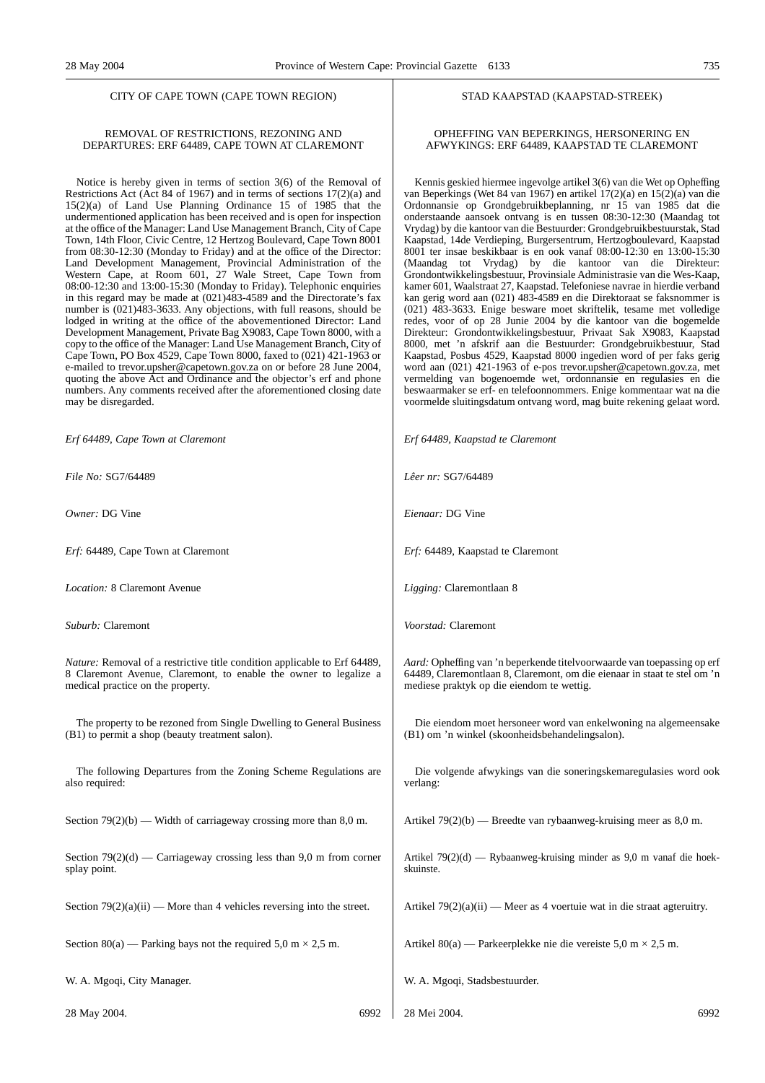#### CITY OF CAPE TOWN (CAPE TOWN REGION)

#### REMOVAL OF RESTRICTIONS, REZONING AND DEPARTURES: ERF 64489, CAPE TOWN AT CLAREMONT

Notice is hereby given in terms of section 3(6) of the Removal of Restrictions Act (Act 84 of 1967) and in terms of sections 17(2)(a) and 15(2)(a) of Land Use Planning Ordinance 15 of 1985 that the undermentioned application has been received and is open for inspection at the office of the Manager: Land Use Management Branch, City of Cape Town, 14th Floor, Civic Centre, 12 Hertzog Boulevard, Cape Town 8001 from 08:30-12:30 (Monday to Friday) and at the office of the Director: Land Development Management, Provincial Administration of the Western Cape, at Room 601, 27 Wale Street, Cape Town from 08:00-12:30 and 13:00-15:30 (Monday to Friday). Telephonic enquiries in this regard may be made at (021)483-4589 and the Directorate's fax number is (021)483-3633. Any objections, with full reasons, should be lodged in writing at the office of the abovementioned Director: Land Development Management, Private Bag X9083, Cape Town 8000, with a copy to the office of the Manager: Land Use Management Branch, City of Cape Town, PO Box 4529, Cape Town 8000, faxed to (021) 421-1963 or e-mailed to trevor.upsher@capetown.gov.za on or before 28 June 2004, quoting the above Act and Ordinance and the objector's erf and phone numbers. Any comments received after the aforementioned closing date may be disregarded.

*Erf 64489, Cape Town at Claremont*

*File No:* SG7/64489

*Owner:* DG Vine

*Erf:* 64489, Cape Town at Claremont

*Location:* 8 Claremont Avenue

*Suburb:* Claremont

*Nature:* Removal of a restrictive title condition applicable to Erf 64489, 8 Claremont Avenue, Claremont, to enable the owner to legalize a medical practice on the property.

The property to be rezoned from Single Dwelling to General Business (B1) to permit a shop (beauty treatment salon).

The following Departures from the Zoning Scheme Regulations are also required:

Section 79(2)(b) — Width of carriageway crossing more than 8,0 m.

Section  $79(2)(d)$  — Carriageway crossing less than 9,0 m from corner splay point.

Section  $79(2)(a)(ii)$  — More than 4 vehicles reversing into the street.

Section 80(a) — Parking bays not the required 5,0 m  $\times$  2,5 m.

W. A. Mgoqi, City Manager.

28 May 2004. 6992

#### STAD KAAPSTAD (KAAPSTAD-STREEK)

#### OPHEFFING VAN BEPERKINGS, HERSONERING EN AFWYKINGS: ERF 64489, KAAPSTAD TE CLAREMONT

Kennis geskied hiermee ingevolge artikel 3(6) van die Wet op Opheffing van Beperkings (Wet 84 van 1967) en artikel 17(2)(a) en 15(2)(a) van die Ordonnansie op Grondgebruikbeplanning, nr 15 van 1985 dat die onderstaande aansoek ontvang is en tussen 08:30-12:30 (Maandag tot Vrydag) by die kantoor van die Bestuurder: Grondgebruikbestuurstak, Stad Kaapstad, 14de Verdieping, Burgersentrum, Hertzogboulevard, Kaapstad 8001 ter insae beskikbaar is en ook vanaf 08:00-12:30 en 13:00-15:30 (Maandag tot Vrydag) by die kantoor van die Direkteur: Grondontwikkelingsbestuur, Provinsiale Administrasie van die Wes-Kaap, kamer 601, Waalstraat 27, Kaapstad. Telefoniese navrae in hierdie verband kan gerig word aan (021) 483-4589 en die Direktoraat se faksnommer is (021) 483-3633. Enige besware moet skriftelik, tesame met volledige redes, voor of op 28 Junie 2004 by die kantoor van die bogemelde Direkteur: Grondontwikkelingsbestuur, Privaat Sak X9083, Kaapstad 8000, met 'n afskrif aan die Bestuurder: Grondgebruikbestuur, Stad Kaapstad, Posbus 4529, Kaapstad 8000 ingedien word of per faks gerig word aan (021) 421-1963 of e-pos trevor.upsher@capetown.gov.za, met vermelding van bogenoemde wet, ordonnansie en regulasies en die beswaarmaker se erf- en telefoonnommers. Enige kommentaar wat na die voormelde sluitingsdatum ontvang word, mag buite rekening gelaat word.

*Erf 64489, Kaapstad te Claremont*

*Lêer nr:* SG7/64489

*Eienaar:* DG Vine

*Erf:* 64489, Kaapstad te Claremont

*Ligging:* Claremontlaan 8

*Voorstad:* Claremont

*Aard:* Opheffing van 'n beperkende titelvoorwaarde van toepassing op erf 64489, Claremontlaan 8, Claremont, om die eienaar in staat te stel om 'n mediese praktyk op die eiendom te wettig.

Die eiendom moet hersoneer word van enkelwoning na algemeensake (B1) om 'n winkel (skoonheidsbehandelingsalon).

Die volgende afwykings van die soneringskemaregulasies word ook verlang:

Artikel 79(2)(b) — Breedte van rybaanweg-kruising meer as 8,0 m.

Artikel 79(2)(d) — Rybaanweg-kruising minder as 9,0 m vanaf die hoekskuinste.

Artikel 79(2)(a)(ii) — Meer as 4 voertuie wat in die straat agteruitry.

Artikel 80(a) — Parkeerplekke nie die vereiste 5,0 m  $\times$  2,5 m.

W. A. Mgoqi, Stadsbestuurder.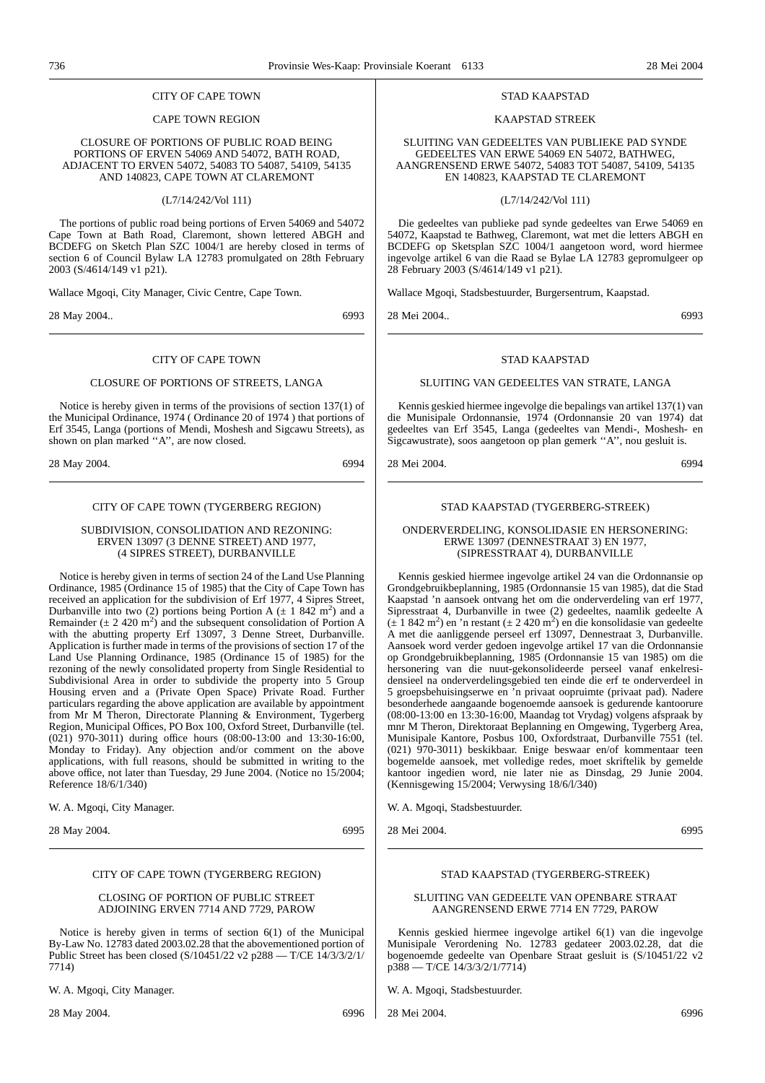#### CITY OF CAPE TOWN

#### CAPE TOWN REGION

CLOSURE OF PORTIONS OF PUBLIC ROAD BEING PORTIONS OF ERVEN 54069 AND 54072, BATH ROAD, ADJACENT TO ERVEN 54072, 54083 TO 54087, 54109, 54135 AND 140823, CAPE TOWN AT CLAREMONT

(L7/14/242/Vol 111)

The portions of public road being portions of Erven 54069 and 54072 Cape Town at Bath Road, Claremont, shown lettered ABGH and BCDEFG on Sketch Plan SZC 1004/1 are hereby closed in terms of section 6 of Council Bylaw LA 12783 promulgated on 28th February 2003 (S/4614/149 v1 p21).

Wallace Mgoqi, City Manager, Civic Centre, Cape Town.

28 May 2004.. 6993

#### CITY OF CAPE TOWN

#### CLOSURE OF PORTIONS OF STREETS, LANGA

Notice is hereby given in terms of the provisions of section 137(1) of the Municipal Ordinance, 1974 ( Ordinance 20 of 1974 ) that portions of Erf 3545, Langa (portions of Mendi, Moshesh and Sigcawu Streets), as shown on plan marked ''A'', are now closed.

28 May 2004. 6994

#### CITY OF CAPE TOWN (TYGERBERG REGION)

SUBDIVISION, CONSOLIDATION AND REZONING: ERVEN 13097 (3 DENNE STREET) AND 1977, (4 SIPRES STREET), DURBANVILLE

Notice is hereby given in terms of section 24 of the Land Use Planning Ordinance, 1985 (Ordinance 15 of 1985) that the City of Cape Town has received an application for the subdivision of Erf 1977, 4 Sipres Street, Durbanville into two (2) portions being Portion A ( $\pm$  1 842 m<sup>2</sup>) and a Remainder ( $\pm 2.420 \text{ m}^2$ ) and the subsequent consolidation of Portion A with the abutting property Erf 13097, 3 Denne Street, Durbanville. Application is further made in terms of the provisions of section 17 of the Land Use Planning Ordinance, 1985 (Ordinance 15 of 1985) for the rezoning of the newly consolidated property from Single Residential to Subdivisional Area in order to subdivide the property into 5 Group Housing erven and a (Private Open Space) Private Road. Further particulars regarding the above application are available by appointment from Mr M Theron, Directorate Planning & Environment, Tygerberg Region, Municipal Offices, PO Box 100, Oxford Street, Durbanville (tel. (021) 970-3011) during office hours (08:00-13:00 and 13:30-16:00, Monday to Friday). Any objection and/or comment on the above applications, with full reasons, should be submitted in writing to the above office, not later than Tuesday, 29 June 2004. (Notice no 15/2004; Reference 18/6/1/340)

W. A. Mgoqi, City Manager.

28 May 2004. 6995

#### CITY OF CAPE TOWN (TYGERBERG REGION)

#### CLOSING OF PORTION OF PUBLIC STREET ADJOINING ERVEN 7714 AND 7729, PAROW

Notice is hereby given in terms of section 6(1) of the Municipal By-Law No. 12783 dated 2003.02.28 that the abovementioned portion of Public Street has been closed (S/10451/22 v2 p288 — T/CE 14/3/3/2/1/ 7714)

W. A. Mgoqi, City Manager.

28 May 2004. 6996

#### STAD KAAPSTAD

#### KAAPSTAD STREEK

SLUITING VAN GEDEELTES VAN PUBLIEKE PAD SYNDE GEDEELTES VAN ERWE 54069 EN 54072, BATHWEG, AANGRENSEND ERWE 54072, 54083 TOT 54087, 54109, 54135 EN 140823, KAAPSTAD TE CLAREMONT

(L7/14/242/Vol 111)

Die gedeeltes van publieke pad synde gedeeltes van Erwe 54069 en 54072, Kaapstad te Bathweg, Claremont, wat met die letters ABGH en BCDEFG op Sketsplan SZC 1004/1 aangetoon word, word hiermee ingevolge artikel 6 van die Raad se Bylae LA 12783 gepromulgeer op 28 February 2003 (S/4614/149 v1 p21).

Wallace Mgoqi, Stadsbestuurder, Burgersentrum, Kaapstad.

28 Mei 2004.. 6993

#### STAD KAAPSTAD

#### SLUITING VAN GEDEELTES VAN STRATE, LANGA

Kennis geskied hiermee ingevolge die bepalings van artikel 137(1) van die Munisipale Ordonnansie, 1974 (Ordonnansie 20 van 1974) dat gedeeltes van Erf 3545, Langa (gedeeltes van Mendi-, Moshesh- en Sigcawustrate), soos aangetoon op plan gemerk ''A'', nou gesluit is.

28 Mei 2004. 6994

#### STAD KAAPSTAD (TYGERBERG-STREEK)

#### ONDERVERDELING, KONSOLIDASIE EN HERSONERING: ERWE 13097 (DENNESTRAAT 3) EN 1977, (SIPRESSTRAAT 4), DURBANVILLE

Kennis geskied hiermee ingevolge artikel 24 van die Ordonnansie op Grondgebruikbeplanning, 1985 (Ordonnansie 15 van 1985), dat die Stad Kaapstad 'n aansoek ontvang het om die onderverdeling van erf 1977, Sipresstraat 4, Durbanville in twee (2) gedeeltes, naamlik gedeelte A  $(\pm 1.842 \text{ m}^2)$  en 'n restant  $(\pm 2.420 \text{ m}^2)$  en die konsolidasie van gedeelte A met die aanliggende perseel erf 13097, Dennestraat 3, Durbanville. Aansoek word verder gedoen ingevolge artikel 17 van die Ordonnansie op Grondgebruikbeplanning, 1985 (Ordonnansie 15 van 1985) om die hersonering van die nuut-gekonsolideerde perseel vanaf enkelresidensieel na onderverdelingsgebied ten einde die erf te onderverdeel in 5 groepsbehuisingserwe en 'n privaat oopruimte (privaat pad). Nadere besonderhede aangaande bogenoemde aansoek is gedurende kantoorure  $(08:00-13:00 \text{ en } 13:30-16:00)$ . Maandag tot Vrvdag) volgens afspraak by mnr M Theron, Direktoraat Beplanning en Omgewing, Tygerberg Area, Munisipale Kantore, Posbus 100, Oxfordstraat, Durbanville 7551 (tel. (021) 970-3011) beskikbaar. Enige beswaar en/of kommentaar teen bogemelde aansoek, met volledige redes, moet skriftelik by gemelde kantoor ingedien word, nie later nie as Dinsdag, 29 Junie 2004. (Kennisgewing 15/2004; Verwysing 18/6/l/340)

W. A. Mgoqi, Stadsbestuurder.

28 Mei 2004. 6995

#### STAD KAAPSTAD (TYGERBERG-STREEK)

#### SLUITING VAN GEDEELTE VAN OPENBARE STRAAT AANGRENSEND ERWE 7714 EN 7729, PAROW

Kennis geskied hiermee ingevolge artikel 6(1) van die ingevolge Munisipale Verordening No. 12783 gedateer 2003.02.28, dat die bogenoemde gedeelte van Openbare Straat gesluit is (S/10451/22 v2 p388 — T/CE 14/3/3/2/1/7714)

W. A. Mgoqi, Stadsbestuurder.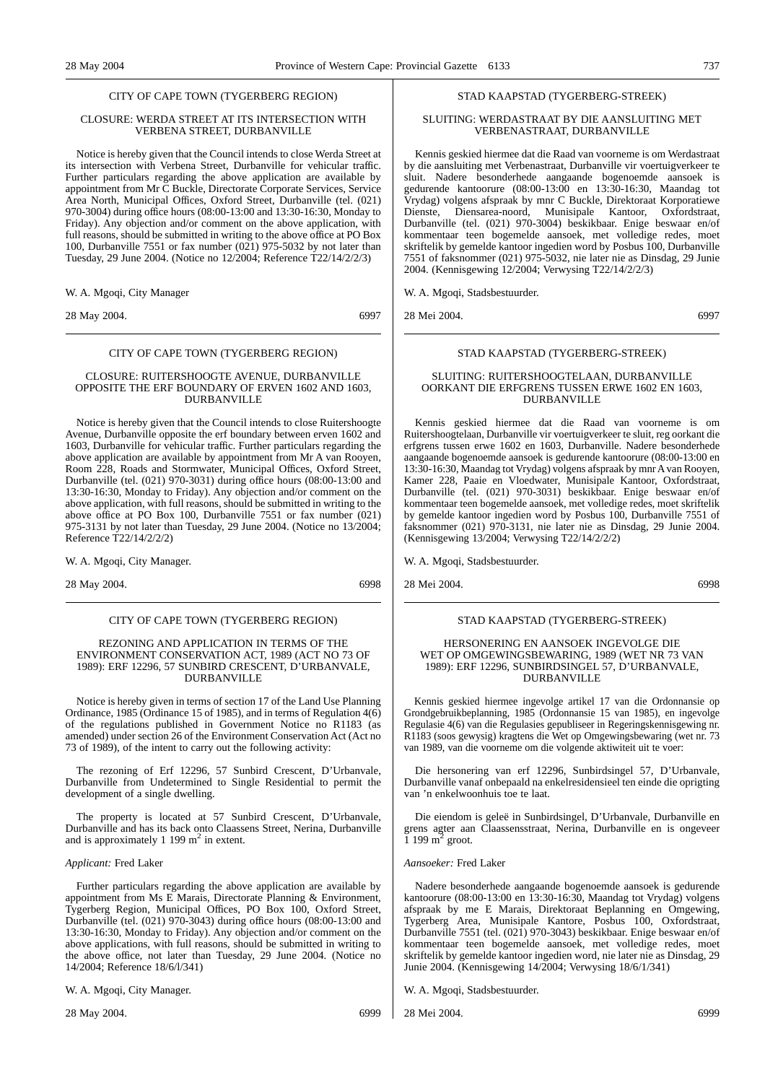#### CITY OF CAPE TOWN (TYGERBERG REGION)

#### CLOSURE: WERDA STREET AT ITS INTERSECTION WITH VERBENA STREET, DURBANVILLE

Notice is hereby given that the Council intends to close Werda Street at its intersection with Verbena Street, Durbanville for vehicular traffic. Further particulars regarding the above application are available by appointment from Mr C Buckle, Directorate Corporate Services, Service Area North, Municipal Offices, Oxford Street, Durbanville (tel. (021) 970-3004) during office hours (08:00-13:00 and 13:30-16:30, Monday to Friday). Any objection and/or comment on the above application, with full reasons, should be submitted in writing to the above office at PO Box 100, Durbanville 7551 or fax number (021) 975-5032 by not later than Tuesday, 29 June 2004. (Notice no 12/2004; Reference T22/14/2/2/3)

W. A. Mgoqi, City Manager

28 May 2004. 6997

#### CITY OF CAPE TOWN (TYGERBERG REGION)

#### CLOSURE: RUITERSHOOGTE AVENUE, DURBANVILLE OPPOSITE THE ERF BOUNDARY OF ERVEN 1602 AND 1603, DURBANVILLE

Notice is hereby given that the Council intends to close Ruitershoogte Avenue, Durbanville opposite the erf boundary between erven 1602 and 1603, Durbanville for vehicular traffic. Further particulars regarding the above application are available by appointment from Mr A van Rooyen, Room 228, Roads and Stormwater, Municipal Offices, Oxford Street, Durbanville (tel. (021) 970-3031) during office hours (08:00-13:00 and 13:30-16:30, Monday to Friday). Any objection and/or comment on the above application, with full reasons, should be submitted in writing to the above office at PO Box 100, Durbanville 7551 or fax number (021) 975-3131 by not later than Tuesday, 29 June 2004. (Notice no 13/2004; Reference T22/14/2/2/2)

W. A. Mgoqi, City Manager.

28 May 2004. 6998

#### CITY OF CAPE TOWN (TYGERBERG REGION)

#### REZONING AND APPLICATION IN TERMS OF THE ENVIRONMENT CONSERVATION ACT, 1989 (ACT NO 73 OF 1989): ERF 12296, 57 SUNBIRD CRESCENT, D'URBANVALE, DURBANVILLE

Notice is hereby given in terms of section 17 of the Land Use Planning Ordinance, 1985 (Ordinance 15 of 1985), and in terms of Regulation 4(6) of the regulations published in Government Notice no R1183 (as amended) under section 26 of the Environment Conservation Act (Act no 73 of 1989), of the intent to carry out the following activity:

The rezoning of Erf 12296, 57 Sunbird Crescent, D'Urbanvale, Durbanville from Undetermined to Single Residential to permit the development of a single dwelling.

The property is located at 57 Sunbird Crescent, D'Urbanvale, Durbanville and has its back onto Claassens Street, Nerina, Durbanville and is approximately 1 199  $m<sup>2</sup>$  in extent.

#### *Applicant:* Fred Laker

Further particulars regarding the above application are available by appointment from Ms E Marais, Directorate Planning & Environment, Tygerberg Region, Municipal Offices, PO Box 100, Oxford Street, Durbanville (tel. (021) 970-3043) during office hours (08:00-13:00 and 13:30-16:30, Monday to Friday). Any objection and/or comment on the above applications, with full reasons, should be submitted in writing to the above office, not later than Tuesday, 29 June 2004. (Notice no 14/2004; Reference 18/6/l/341)

W. A. Mgoqi, City Manager.

28 May 2004. 6999

#### STAD KAAPSTAD (TYGERBERG-STREEK)

#### SLUITING: WERDASTRAAT BY DIE AANSLUITING MET VERBENASTRAAT, DURBANVILLE

Kennis geskied hiermee dat die Raad van voorneme is om Werdastraat by die aansluiting met Verbenastraat, Durbanville vir voertuigverkeer te sluit. Nadere besonderhede aangaande bogenoemde aansoek is gedurende kantoorure (08:00-13:00 en 13:30-16:30, Maandag tot Vrydag) volgens afspraak by mnr C Buckle, Direktoraat Korporatiewe Dienste, Diensarea-noord, Munisipale Kantoor, Oxfordstraat, Durbanville (tel. (021) 970-3004) beskikbaar. Enige beswaar en/of kommentaar teen bogemelde aansoek, met volledige redes, moet skriftelik by gemelde kantoor ingedien word by Posbus 100, Durbanville 7551 of faksnommer (021) 975-5032, nie later nie as Dinsdag, 29 Junie 2004. (Kennisgewing 12/2004; Verwysing T22/14/2/2/3)

#### W. A. Mgoqi, Stadsbestuurder.

28 Mei 2004. 6997

#### STAD KAAPSTAD (TYGERBERG-STREEK)

#### SLUITING: RUITERSHOOGTELAAN, DURBANVILLE OORKANT DIE ERFGRENS TUSSEN ERWE 1602 EN 1603, DURBANVILLE

Kennis geskied hiermee dat die Raad van voorneme is om Ruitershoogtelaan, Durbanville vir voertuigverkeer te sluit, reg oorkant die erfgrens tussen erwe 1602 en 1603, Durbanville. Nadere besonderhede aangaande bogenoemde aansoek is gedurende kantoorure (08:00-13:00 en 13:30-16:30, Maandag tot Vrydag) volgens afspraak by mnr A van Rooyen, Kamer 228, Paaie en Vloedwater, Munisipale Kantoor, Oxfordstraat, Durbanville (tel. (021) 970-3031) beskikbaar. Enige beswaar en/of kommentaar teen bogemelde aansoek, met volledige redes, moet skriftelik by gemelde kantoor ingedien word by Posbus 100, Durbanville 7551 of faksnommer (021) 970-3131, nie later nie as Dinsdag, 29 Junie 2004. (Kennisgewing 13/2004; Verwysing T22/14/2/2/2)

W. A. Mgoqi, Stadsbestuurder.

28 Mei 2004. 6998

#### STAD KAAPSTAD (TYGERBERG-STREEK)

#### HERSONERING EN AANSOEK INGEVOLGE DIE WET OP OMGEWINGSBEWARING, 1989 (WET NR 73 VAN 1989): ERF 12296, SUNBIRDSINGEL 57, D'URBANVALE, DURBANVILLE

Kennis geskied hiermee ingevolge artikel 17 van die Ordonnansie op Grondgebruikbeplanning, 1985 (Ordonnansie 15 van 1985), en ingevolge Regulasie 4(6) van die Regulasies gepubliseer in Regeringskennisgewing nr. R1183 (soos gewysig) kragtens die Wet op Omgewingsbewaring (wet nr. 73 van 1989, van die voorneme om die volgende aktiwiteit uit te voer:

Die hersonering van erf 12296, Sunbirdsingel 57, D'Urbanvale, Durbanville vanaf onbepaald na enkelresidensieel ten einde die oprigting van 'n enkelwoonhuis toe te laat.

Die eiendom is geleë in Sunbirdsingel, D'Urbanvale, Durbanville en grens agter aan Claassensstraat, Nerina, Durbanville en is ongeveer  $\frac{1}{1}$  199 m<sup>2</sup> groot.

#### *Aansoeker:* Fred Laker

Nadere besonderhede aangaande bogenoemde aansoek is gedurende kantoorure (08:00-13:00 en 13:30-16:30, Maandag tot Vrydag) volgens afspraak by me E Marais, Direktoraat Beplanning en Omgewing, Tygerberg Area, Munisipale Kantore, Posbus 100, Oxfordstraat, Durbanville 7551 (tel. (021) 970-3043) beskikbaar. Enige beswaar en/of kommentaar teen bogemelde aansoek, met volledige redes, moet skriftelik by gemelde kantoor ingedien word, nie later nie as Dinsdag, 29 Junie 2004. (Kennisgewing 14/2004; Verwysing 18/6/1/341)

W. A. Mgoqi, Stadsbestuurder.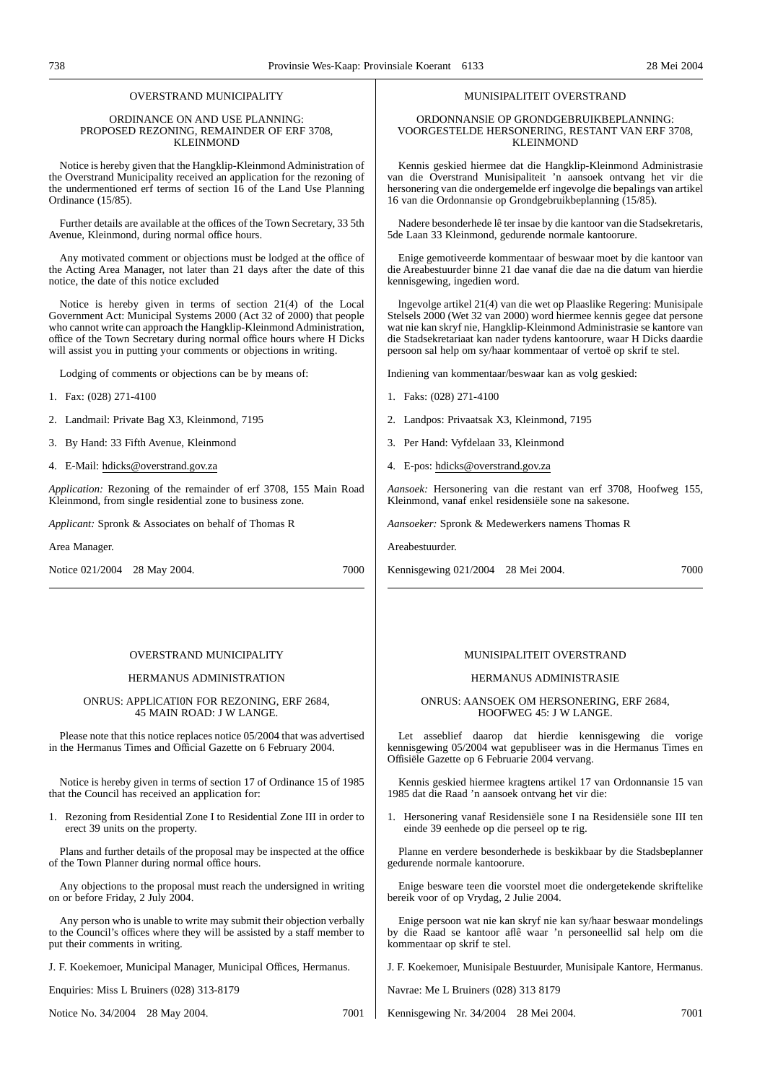### OVERSTRAND MUNICIPALITY

#### ORDINANCE ON AND USE PLANNING: PROPOSED REZONING, REMAINDER OF ERF 3708, KLEINMOND

Notice is hereby given that the Hangklip-Kleinmond Administration of the Overstrand Municipality received an application for the rezoning of the undermentioned erf terms of section 16 of the Land Use Planning Ordinance (15/85).

Further details are available at the offices of the Town Secretary, 33 5th Avenue, Kleinmond, during normal office hours.

Any motivated comment or objections must be lodged at the office of the Acting Area Manager, not later than 21 days after the date of this notice, the date of this notice excluded

Notice is hereby given in terms of section 21(4) of the Local Government Act: Municipal Systems 2000 (Act 32 of 2000) that people who cannot write can approach the Hangklip-Kleinmond Administration, office of the Town Secretary during normal office hours where H Dicks will assist you in putting your comments or objections in writing.

Lodging of comments or objections can be by means of:

- 1. Fax: (028) 271-4100
- 2. Landmail: Private Bag X3, Kleinmond, 7195
- 3. By Hand: 33 Fifth Avenue, Kleinmond
- 4. E-Mail: hdicks@overstrand.gov.za

*Application:* Rezoning of the remainder of erf 3708, 155 Main Road Kleinmond, from single residential zone to business zone.

*Applicant:* Spronk & Associates on behalf of Thomas R

Area Manager.

Notice 021/2004 28 May 2004. 7000

#### OVERSTRAND MUNICIPALITY

#### HERMANUS ADMINISTRATION

#### ONRUS: APPLlCATI0N FOR REZONING, ERF 2684, 45 MAIN ROAD: J W LANGE.

Please note that this notice replaces notice 05/2004 that was advertised in the Hermanus Times and Official Gazette on 6 February 2004.

Notice is hereby given in terms of section 17 of Ordinance 15 of 1985 that the Council has received an application for:

1. Rezoning from Residential Zone I to Residential Zone III in order to erect 39 units on the property.

Plans and further details of the proposal may be inspected at the office of the Town Planner during normal office hours.

Any objections to the proposal must reach the undersigned in writing on or before Friday, 2 July 2004.

Any person who is unable to write may submit their objection verbally to the Council's offices where they will be assisted by a staff member to put their comments in writing.

J. F. Koekemoer, Municipal Manager, Municipal Offices, Hermanus.

Enquiries: Miss L Bruiners (028) 313-8179

Notice No. 34/2004 28 May 2004. 7001

#### MUNISIPALITEIT OVERSTRAND

#### ORDONNANSlE OP GRONDGEBRUIKBEPLANNING: VOORGESTELDE HERSONERING, RESTANT VAN ERF 3708, KLEINMOND

Kennis geskied hiermee dat die Hangklip-Kleinmond Administrasie van die Overstrand Munisipaliteit 'n aansoek ontvang het vir die hersonering van die ondergemelde erf ingevolge die bepalings van artikel 16 van die Ordonnansie op Grondgebruikbeplanning (15/85).

Nadere besonderhede lê ter insae by die kantoor van die Stadsekretaris, 5de Laan 33 Kleinmond, gedurende normale kantoorure.

Enige gemotiveerde kommentaar of beswaar moet by die kantoor van die Areabestuurder binne 21 dae vanaf die dae na die datum van hierdie kennisgewing, ingedien word.

lngevolge artikel 21(4) van die wet op Plaaslike Regering: Munisipale Stelsels 2000 (Wet 32 van 2000) word hiermee kennis gegee dat persone wat nie kan skryf nie, Hangklip-Kleinmond Administrasie se kantore van die Stadsekretariaat kan nader tydens kantoorure, waar H Dicks daardie persoon sal help om sy/haar kommentaar of vertoë op skrif te stel.

Indiening van kommentaar/beswaar kan as volg geskied:

- 1. Faks: (028) 271-4100
- 2. Landpos: Privaatsak X3, Kleinmond, 7195
- 3. Per Hand: Vyfdelaan 33, Kleinmond
- 4. E-pos: hdicks@overstrand.gov.za

*Aansoek:* Hersonering van die restant van erf 3708, Hoofweg 155, Kleinmond, vanaf enkel residensiële sone na sakesone.

*Aansoeker:* Spronk & Medewerkers namens Thomas R

Areabestuurder.

Kennisgewing 021/2004 28 Mei 2004. 7000

#### MUNISIPALITEIT OVERSTRAND

#### HERMANUS ADMINISTRASIE

ONRUS: AANSOEK OM HERSONERING, ERF 2684, HOOFWEG 45: J W LANGE.

Let asseblief daarop dat hierdie kennisgewing die vorige kennisgewing 05/2004 wat gepubliseer was in die Hermanus Times en Offisiële Gazette op 6 Februarie 2004 vervang.

Kennis geskied hiermee kragtens artikel 17 van Ordonnansie 15 van 1985 dat die Raad 'n aansoek ontvang het vir die:

1. Hersonering vanaf Residensiële sone I na Residensiële sone III ten einde 39 eenhede op die perseel op te rig.

Planne en verdere besonderhede is beskikbaar by die Stadsbeplanner gedurende normale kantoorure.

Enige besware teen die voorstel moet die ondergetekende skriftelike bereik voor of op Vrydag, 2 Julie 2004.

Enige persoon wat nie kan skryf nie kan sy/haar beswaar mondelings by die Raad se kantoor aflê waar 'n personeellid sal help om die kommentaar op skrif te stel.

J. F. Koekemoer, Munisipale Bestuurder, Munisipale Kantore, Hermanus.

Navrae: Me L Bruiners (028) 313 8179

Kennisgewing Nr. 34/2004 28 Mei 2004. 7001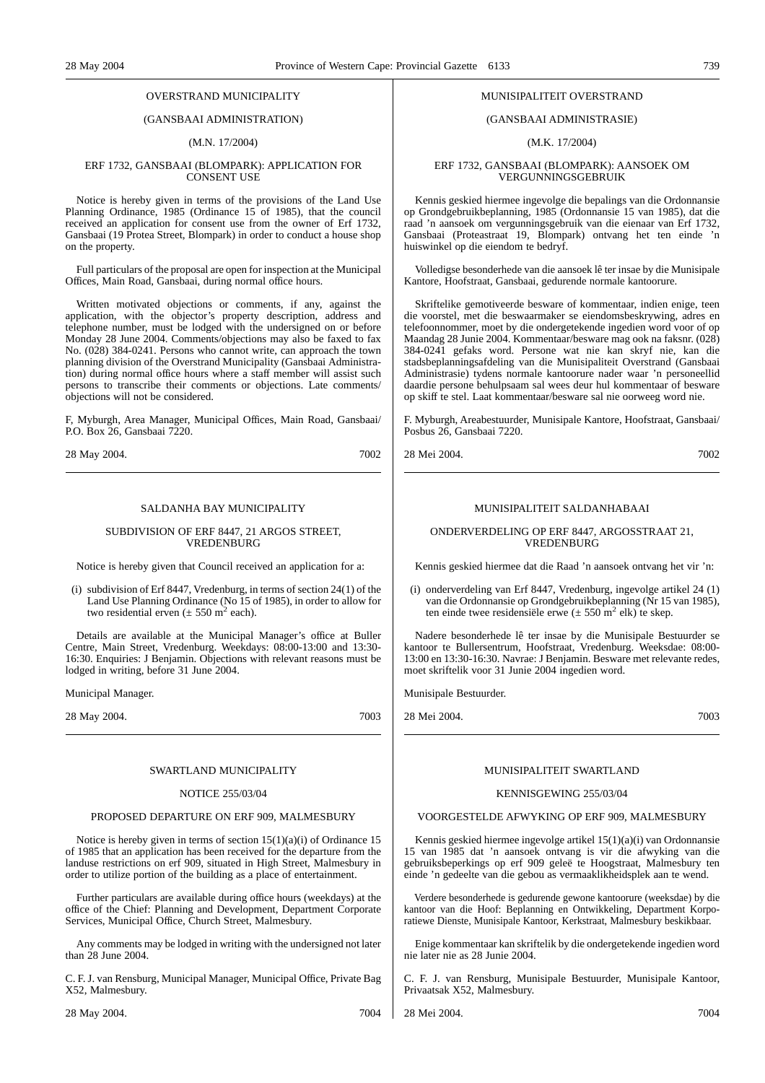#### OVERSTRAND MUNICIPALITY

### (GANSBAAI ADMINISTRATION)

#### (M.N. 17/2004)

#### ERF 1732, GANSBAAI (BLOMPARK): APPLICATION FOR CONSENT USE

Notice is hereby given in terms of the provisions of the Land Use Planning Ordinance, 1985 (Ordinance 15 of 1985), that the council received an application for consent use from the owner of Erf 1732, Gansbaai (19 Protea Street, Blompark) in order to conduct a house shop on the property.

Full particulars of the proposal are open for inspection at the Municipal Offices, Main Road, Gansbaai, during normal office hours.

Written motivated objections or comments, if any, against the application, with the objector's property description, address and telephone number, must be lodged with the undersigned on or before Monday 28 June 2004. Comments/objections may also be faxed to fax No. (028) 384-0241. Persons who cannot write, can approach the town planning division of the Overstrand Municipality (Gansbaai Administration) during normal office hours where a staff member will assist such persons to transcribe their comments or objections. Late comments/ objections will not be considered.

F, Myburgh, Area Manager, Municipal Offices, Main Road, Gansbaai/ P.O. Box 26, Gansbaai 7220.

28 May 2004. 7002

#### SALDANHA BAY MUNICIPALITY

#### SUBDIVISION OF ERF 8447, 21 ARGOS STREET, VREDENBURG

Notice is hereby given that Council received an application for a:

(i) subdivision of Erf 8447, Vredenburg, in terms of section 24(1) of the Land Use Planning Ordinance (No 15 of 1985), in order to allow for two residential erven  $(\pm 550 \text{ m}^2 \text{ each})$ .

Details are available at the Municipal Manager's office at Buller Centre, Main Street, Vredenburg. Weekdays: 08:00-13:00 and 13:30- 16:30. Enquiries: J Benjamin. Objections with relevant reasons must be lodged in writing, before 31 June 2004.

Municipal Manager.

28 May 2004. 7003

#### SWARTLAND MUNICIPALITY

#### NOTICE 255/03/04

#### PROPOSED DEPARTURE ON ERF 909, MALMESBURY

Notice is hereby given in terms of section 15(1)(a)(i) of Ordinance 15 of 1985 that an application has been received for the departure from the landuse restrictions on erf 909, situated in High Street, Malmesbury in order to utilize portion of the building as a place of entertainment.

Further particulars are available during office hours (weekdays) at the office of the Chief: Planning and Development, Department Corporate Services, Municipal Office, Church Street, Malmesbury.

Any comments may be lodged in writing with the undersigned not later than 28 June 2004.

C. F. J. van Rensburg, Municipal Manager, Municipal Office, Private Bag X52, Malmesbury.

28 May 2004. 7004

#### MUNISIPALITEIT OVERSTRAND

#### (GANSBAAI ADMINISTRASIE)

#### (M.K. 17/2004)

#### ERF 1732, GANSBAAI (BLOMPARK): AANSOEK OM VERGUNNINGSGEBRUIK

Kennis geskied hiermee ingevolge die bepalings van die Ordonnansie op Grondgebruikbeplanning, 1985 (Ordonnansie 15 van 1985), dat die raad 'n aansoek om vergunningsgebruik van die eienaar van Erf 1732, Gansbaai (Proteastraat 19, Blompark) ontvang het ten einde 'n huiswinkel op die eiendom te bedryf.

Volledigse besonderhede van die aansoek lê ter insae by die Munisipale Kantore, Hoofstraat, Gansbaai, gedurende normale kantoorure.

Skriftelike gemotiveerde besware of kommentaar, indien enige, teen die voorstel, met die beswaarmaker se eiendomsbeskrywing, adres en telefoonnommer, moet by die ondergetekende ingedien word voor of op Maandag 28 Junie 2004. Kommentaar/besware mag ook na faksnr. (028) 384-0241 gefaks word. Persone wat nie kan skryf nie, kan die stadsbeplanningsafdeling van die Munisipaliteit Overstrand (Gansbaai Administrasie) tydens normale kantoorure nader waar 'n personeellid daardie persone behulpsaam sal wees deur hul kommentaar of besware op skiff te stel. Laat kommentaar/besware sal nie oorweeg word nie.

F. Myburgh, Areabestuurder, Munisipale Kantore, Hoofstraat, Gansbaai/ Posbus 26, Gansbaai 7220.

28 Mei 2004. 7002

#### MUNISIPALITEIT SALDANHABAAI

#### ONDERVERDELING OP ERF 8447, ARGOSSTRAAT 21, VREDENBURG

Kennis geskied hiermee dat die Raad 'n aansoek ontvang het vir 'n:

(i) onderverdeling van Erf 8447, Vredenburg, ingevolge artikel 24 (1) van die Ordonnansie op Grondgebruikbeplanning (Nr 15 van 1985), ten einde twee residensiële erwe ( $\pm$  550 m<sup>2</sup> elk) te skep.

Nadere besonderhede lê ter insae by die Munisipale Bestuurder se kantoor te Bullersentrum, Hoofstraat, Vredenburg. Weeksdae: 08:00- 13:00 en 13:30-16:30. Navrae: J Benjamin. Besware met relevante redes, moet skriftelik voor 31 Junie 2004 ingedien word.

Munisipale Bestuurder.

28 Mei 2004. 7003

#### MUNISIPALITEIT SWARTLAND

#### KENNISGEWING 255/03/04

#### VOORGESTELDE AFWYKING OP ERF 909, MALMESBURY

Kennis geskied hiermee ingevolge artikel 15(1)(a)(i) van Ordonnansie 15 van 1985 dat 'n aansoek ontvang is vir die afwyking van die gebruiksbeperkings op erf 909 geleë te Hoogstraat, Malmesbury ten einde 'n gedeelte van die gebou as vermaaklikheidsplek aan te wend.

Verdere besonderhede is gedurende gewone kantoorure (weeksdae) by die kantoor van die Hoof: Beplanning en Ontwikkeling, Department Korporatiewe Dienste, Munisipale Kantoor, Kerkstraat, Malmesbury beskikbaar.

Enige kommentaar kan skriftelik by die ondergetekende ingedien word nie later nie as 28 Junie 2004.

C. F. J. van Rensburg, Munisipale Bestuurder, Munisipale Kantoor, Privaatsak X52, Malmesbury.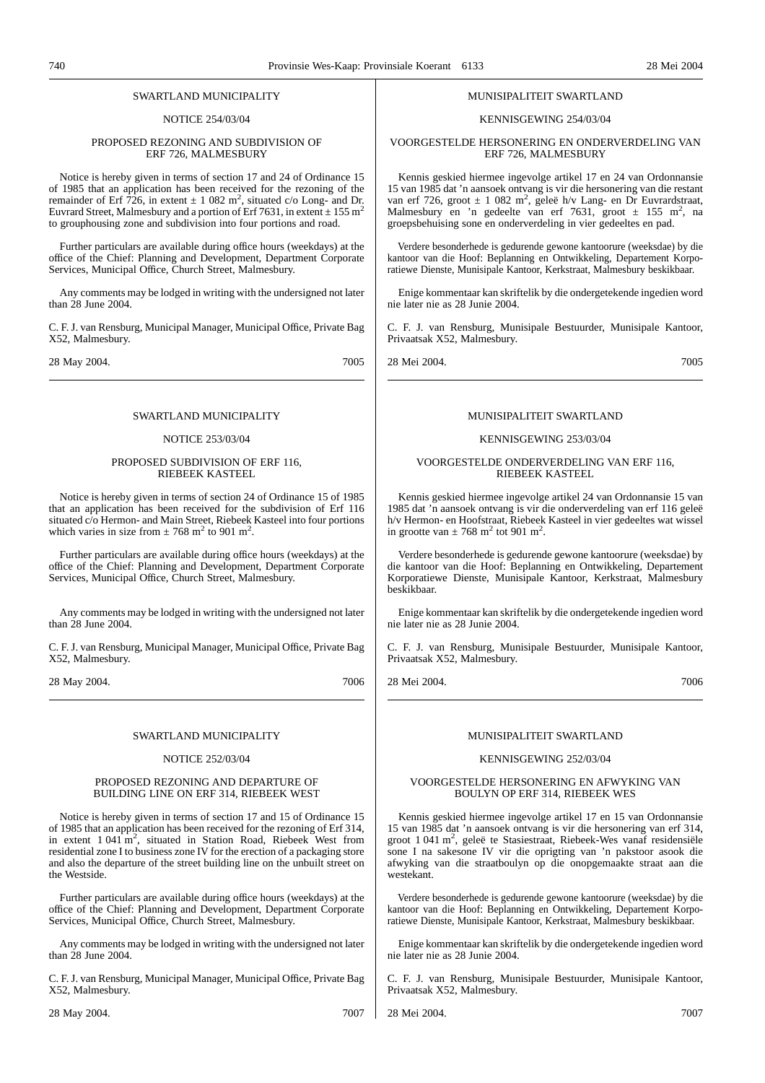#### SWARTLAND MUNICIPALITY

#### NOTICE 254/03/04

#### PROPOSED REZONING AND SUBDIVISION OF ERF 726, MALMESBURY

Notice is hereby given in terms of section 17 and 24 of Ordinance 15 of 1985 that an application has been received for the rezoning of the remainder of Erf 726, in extent  $\pm$  1 082 m<sup>2</sup>, situated c/o Long- and Dr. Euvrard Street, Malmesbury and a portion of Erf 7631, in extent  $\pm$  155 m<sup>2</sup> to grouphousing zone and subdivision into four portions and road.

Further particulars are available during office hours (weekdays) at the office of the Chief: Planning and Development, Department Corporate Services, Municipal Office, Church Street, Malmesbury.

Any comments may be lodged in writing with the undersigned not later than 28 June 2004.

C. F. J. van Rensburg, Municipal Manager, Municipal Office, Private Bag X52, Malmesbury.

28 May 2004. 7005

#### SWARTLAND MUNICIPALITY

#### NOTICE 253/03/04

#### PROPOSED SUBDIVISION OF ERF 116, RIEBEEK KASTEEL

Notice is hereby given in terms of section 24 of Ordinance 15 of 1985 that an application has been received for the subdivision of Erf 116 situated c/o Hermon- and Main Street, Riebeek Kasteel into four portions which varies in size from  $\pm 768$  m<sup>2</sup> to 901 m<sup>2</sup>.

Further particulars are available during office hours (weekdays) at the office of the Chief: Planning and Development, Department Corporate Services, Municipal Office, Church Street, Malmesbury.

Any comments may be lodged in writing with the undersigned not later than 28 June 2004.

C. F. J. van Rensburg, Municipal Manager, Municipal Office, Private Bag X52, Malmesbury.

28 May 2004. 7006

#### SWARTLAND MUNICIPALITY

#### NOTICE 252/03/04

#### PROPOSED REZONING AND DEPARTURE OF BUILDING LINE ON ERF 314, RIEBEEK WEST

Notice is hereby given in terms of section 17 and 15 of Ordinance 15 of 1985 that an application has been received for the rezoning of Erf 314, in extent 1 041 m<sup>2</sup>, situated in Station Road, Riebeek West from residential zone I to business zone IV for the erection of a packaging store and also the departure of the street building line on the unbuilt street on the Westside.

Further particulars are available during office hours (weekdays) at the office of the Chief: Planning and Development, Department Corporate Services, Municipal Office, Church Street, Malmesbury.

Any comments may be lodged in writing with the undersigned not later than 28 June 2004.

C. F. J. van Rensburg, Municipal Manager, Municipal Office, Private Bag X52, Malmesbury.

#### MUNISIPALITEIT SWARTLAND

#### KENNISGEWING 254/03/04

VOORGESTELDE HERSONERING EN ONDERVERDELING VAN ERF 726, MALMESBURY

Kennis geskied hiermee ingevolge artikel 17 en 24 van Ordonnansie 15 van 1985 dat 'n aansoek ontvang is vir die hersonering van die restant van erf 726, groot  $\pm$  1 082 m<sup>2</sup>, geleë h/v Lang- en Dr Euvrardstraat, Malmesbury en 'n gedeelte van erf 7631, groot  $\pm$  155 m<sup>2</sup>, na groepsbehuising sone en onderverdeling in vier gedeeltes en pad.

Verdere besonderhede is gedurende gewone kantoorure (weeksdae) by die kantoor van die Hoof: Beplanning en Ontwikkeling, Departement Korporatiewe Dienste, Munisipale Kantoor, Kerkstraat, Malmesbury beskikbaar.

Enige kommentaar kan skriftelik by die ondergetekende ingedien word nie later nie as 28 Junie 2004.

C. F. J. van Rensburg, Munisipale Bestuurder, Munisipale Kantoor, Privaatsak X52, Malmesbury.

28 Mei 2004. 7005

#### MUNISIPALITEIT SWARTLAND

#### KENNISGEWING 253/03/04

#### VOORGESTELDE ONDERVERDELING VAN ERF 116, RIEBEEK KASTEEL

Kennis geskied hiermee ingevolge artikel 24 van Ordonnansie 15 van 1985 dat 'n aansoek ontvang is vir die onderverdeling van erf 116 geleë h/v Hermon- en Hoofstraat, Riebeek Kasteel in vier gedeeltes wat wissel in grootte van  $\pm$  768 m<sup>2</sup> tot 901 m<sup>2</sup>.

Verdere besonderhede is gedurende gewone kantoorure (weeksdae) by die kantoor van die Hoof: Beplanning en Ontwikkeling, Departement Korporatiewe Dienste, Munisipale Kantoor, Kerkstraat, Malmesbury beskikbaar.

Enige kommentaar kan skriftelik by die ondergetekende ingedien word nie later nie as 28 Junie 2004.

C. F. J. van Rensburg, Munisipale Bestuurder, Munisipale Kantoor, Privaatsak X52, Malmesbury.

28 Mei 2004. 7006

#### MUNISIPALITEIT SWARTLAND

#### KENNISGEWING 252/03/04

#### VOORGESTELDE HERSONERING EN AFWYKING VAN BOULYN OP ERF 314, RIEBEEK WES

Kennis geskied hiermee ingevolge artikel 17 en 15 van Ordonnansie 15 van 1985 dat 'n aansoek ontvang is vir die hersonering van erf 314, groot 1 041 m2 , geleë te Stasiestraat, Riebeek-Wes vanaf residensiële sone I na sakesone IV vir die oprigting van 'n pakstoor asook die afwyking van die straatboulyn op die onopgemaakte straat aan die westekant.

Verdere besonderhede is gedurende gewone kantoorure (weeksdae) by die kantoor van die Hoof: Beplanning en Ontwikkeling, Departement Korporatiewe Dienste, Munisipale Kantoor, Kerkstraat, Malmesbury beskikbaar.

Enige kommentaar kan skriftelik by die ondergetekende ingedien word nie later nie as 28 Junie 2004.

C. F. J. van Rensburg, Munisipale Bestuurder, Munisipale Kantoor, Privaatsak X52, Malmesbury.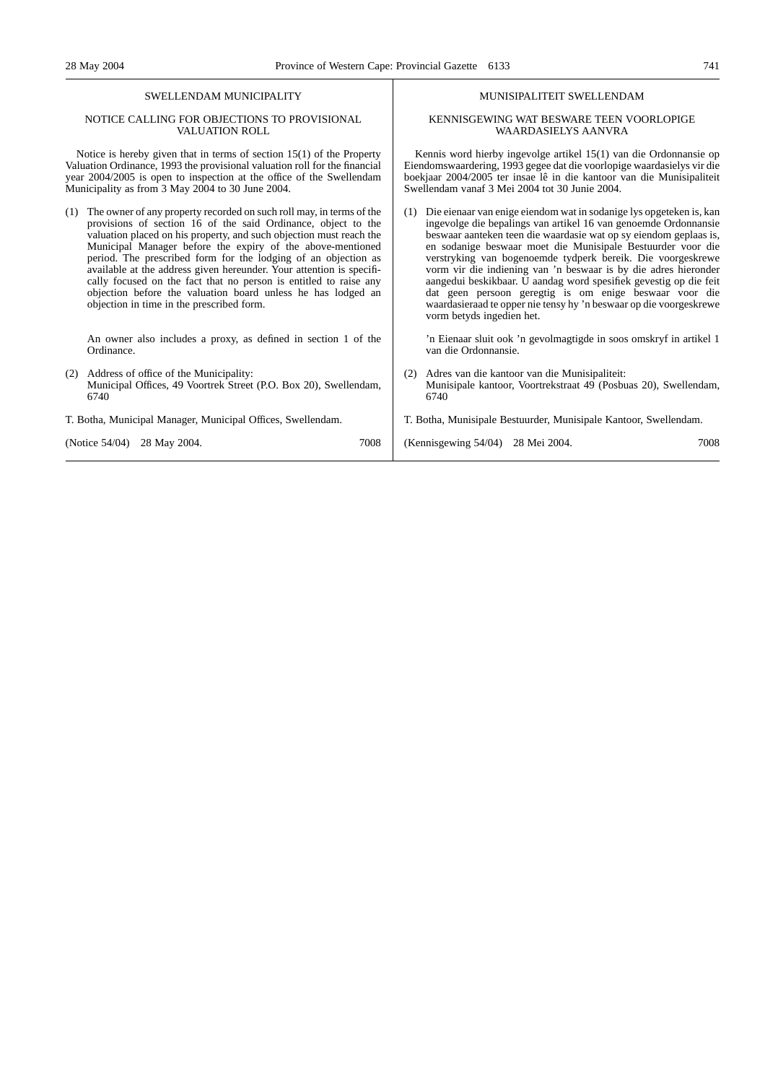#### SWELLENDAM MUNICIPALITY

#### NOTICE CALLING FOR OBJECTIONS TO PROVISIONAL VALUATION ROLL

Notice is hereby given that in terms of section 15(1) of the Property Valuation Ordinance, 1993 the provisional valuation roll for the financial year 2004/2005 is open to inspection at the office of the Swellendam Municipality as from 3 May 2004 to 30 June 2004.

(1) The owner of any property recorded on such roll may, in terms of the provisions of section 16 of the said Ordinance, object to the valuation placed on his property, and such objection must reach the Municipal Manager before the expiry of the above-mentioned period. The prescribed form for the lodging of an objection as available at the address given hereunder. Your attention is specifically focused on the fact that no person is entitled to raise any objection before the valuation board unless he has lodged an objection in time in the prescribed form.

An owner also includes a proxy, as defined in section 1 of the Ordinance.

(2) Address of office of the Municipality: Municipal Offices, 49 Voortrek Street (P.O. Box 20), Swellendam, 6740

T. Botha, Municipal Manager, Municipal Offices, Swellendam.

| (Notice 54/04) 28 May 2004. | (Kennisgewing $54/04$ ) 28 Mei 2004. | 7008 |  |
|-----------------------------|--------------------------------------|------|--|
|-----------------------------|--------------------------------------|------|--|

#### MUNISIPALITEIT SWELLENDAM

#### KENNISGEWING WAT BESWARE TEEN VOORLOPIGE WAARDASIELYS AANVRA

Kennis word hierby ingevolge artikel 15(1) van die Ordonnansie op Eiendomswaardering, 1993 gegee dat die voorlopige waardasielys vir die boekjaar 2004/2005 ter insae lê in die kantoor van die Munisipaliteit Swellendam vanaf 3 Mei 2004 tot 30 Junie 2004.

(1) Die eienaar van enige eiendom wat in sodanige lys opgeteken is, kan ingevolge die bepalings van artikel 16 van genoemde Ordonnansie beswaar aanteken teen die waardasie wat op sy eiendom geplaas is, en sodanige beswaar moet die Munisipale Bestuurder voor die verstryking van bogenoemde tydperk bereik. Die voorgeskrewe vorm vir die indiening van 'n beswaar is by die adres hieronder aangedui beskikbaar. U aandag word spesifiek gevestig op die feit dat geen persoon geregtig is om enige beswaar voor die waardasieraad te opper nie tensy hy 'n beswaar op die voorgeskrewe vorm betyds ingedien het.

'n Eienaar sluit ook 'n gevolmagtigde in soos omskryf in artikel 1 van die Ordonnansie.

- (2) Adres van die kantoor van die Munisipaliteit: Munisipale kantoor, Voortrekstraat 49 (Posbuas 20), Swellendam, 6740
- T. Botha, Munisipale Bestuurder, Munisipale Kantoor, Swellendam.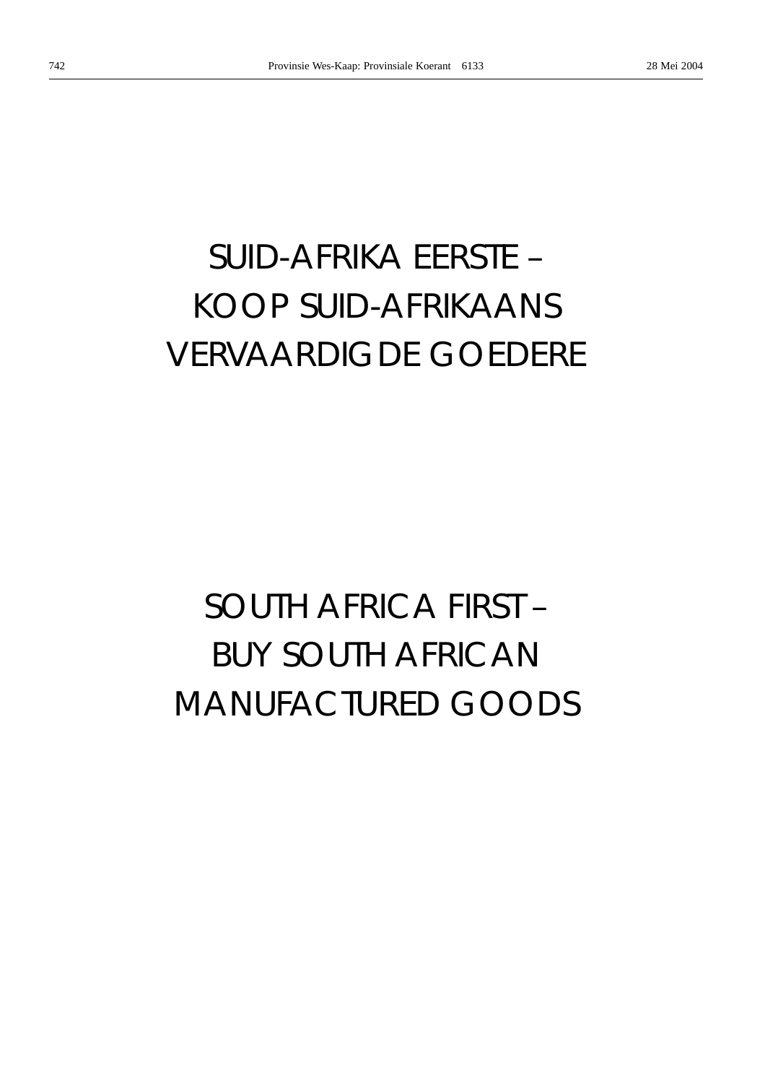# *SUID-AFRIKA EERSTE –* KOOP SUID-AFRIKAANS VERVAARDIGDE GOEDERE

# *SOUTH AFRICA FIRST –* BUY SOUTH AFRICAN MANUFACTURED GOODS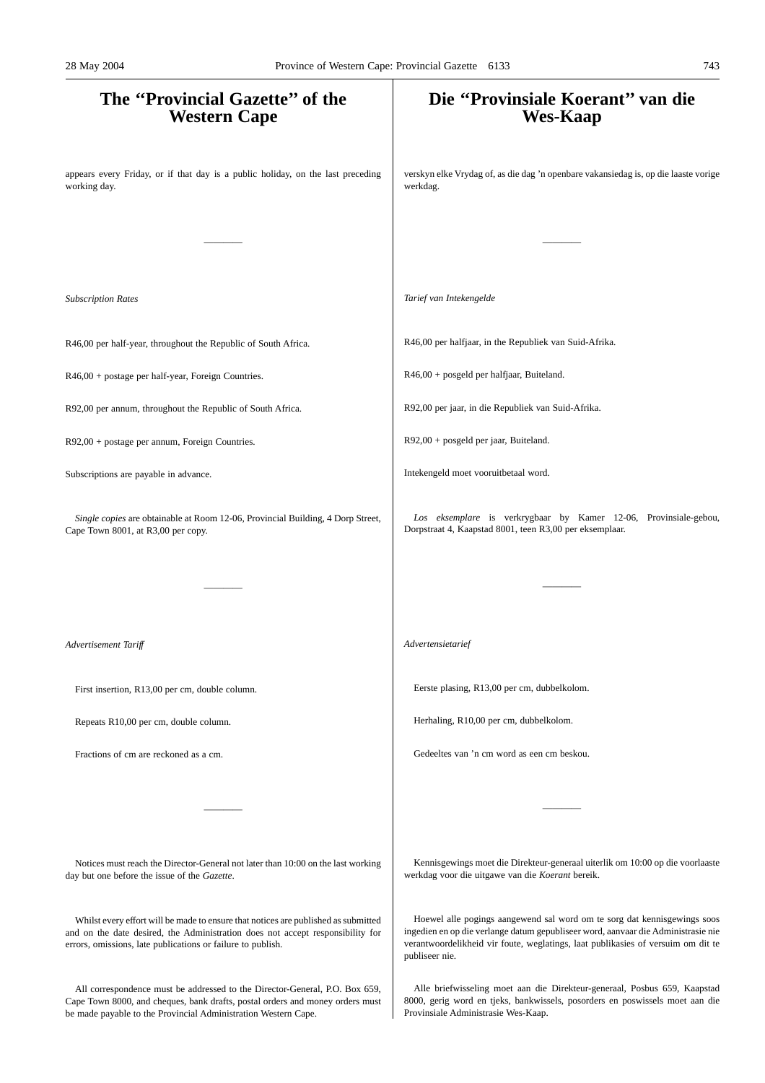# **The ''Provincial Gazette'' of the Western Cape** appears every Friday, or if that day is a public holiday, on the last preceding working day. ———— *Subscription Rates* R46,00 per half-year, throughout the Republic of South Africa. R46,00 + postage per half-year, Foreign Countries. R92,00 per annum, throughout the Republic of South Africa. R92,00 + postage per annum, Foreign Countries. Subscriptions are payable in advance. *Single copies* are obtainable at Room 12-06, Provincial Building, 4 Dorp Street, Cape Town 8001, at R3,00 per copy. ———— *Advertisement Tariff* First insertion, R13,00 per cm, double column. Repeats R10,00 per cm, double column. Fractions of cm are reckoned as a cm. ———— Notices must reach the Director-General not later than 10:00 on the last working day but one before the issue of the *Gazette*. Whilst every effort will be made to ensure that notices are published as submitted **Die ''Provinsiale Koerant'' van die Wes-Kaap** verskyn elke Vrydag of, as die dag 'n openbare vakansiedag is, op die laaste vorige werkdag. ———— *Tarief van Intekengelde* R46,00 per halfjaar, in the Republiek van Suid-Afrika. R46,00 + posgeld per halfjaar, Buiteland. R92,00 per jaar, in die Republiek van Suid-Afrika. R92,00 + posgeld per jaar, Buiteland. Intekengeld moet vooruitbetaal word. *Los eksemplare* is verkrygbaar by Kamer 12-06, Provinsiale-gebou, Dorpstraat 4, Kaapstad 8001, teen R3,00 per eksemplaar. ———— *Advertensietarief* Eerste plasing, R13,00 per cm, dubbelkolom. Herhaling, R10,00 per cm, dubbelkolom. Gedeeltes van 'n cm word as een cm beskou. ———— Kennisgewings moet die Direkteur-generaal uiterlik om 10:00 op die voorlaaste werkdag voor die uitgawe van die *Koerant* bereik. Hoewel alle pogings aangewend sal word om te sorg dat kennisgewings soos 28 May 2004 Province of Western Cape: Provincial Gazette 6133 743

publiseer nie.

and on the date desired, the Administration does not accept responsibility for errors, omissions, late publications or failure to publish.

All correspondence must be addressed to the Director-General, P.O. Box 659, Cape Town 8000, and cheques, bank drafts, postal orders and money orders must be made payable to the Provincial Administration Western Cape.

Alle briefwisseling moet aan die Direkteur-generaal, Posbus 659, Kaapstad 8000, gerig word en tjeks, bankwissels, posorders en poswissels moet aan die Provinsiale Administrasie Wes-Kaap.

ingedien en op die verlange datum gepubliseer word, aanvaar die Administrasie nie verantwoordelikheid vir foute, weglatings, laat publikasies of versuim om dit te